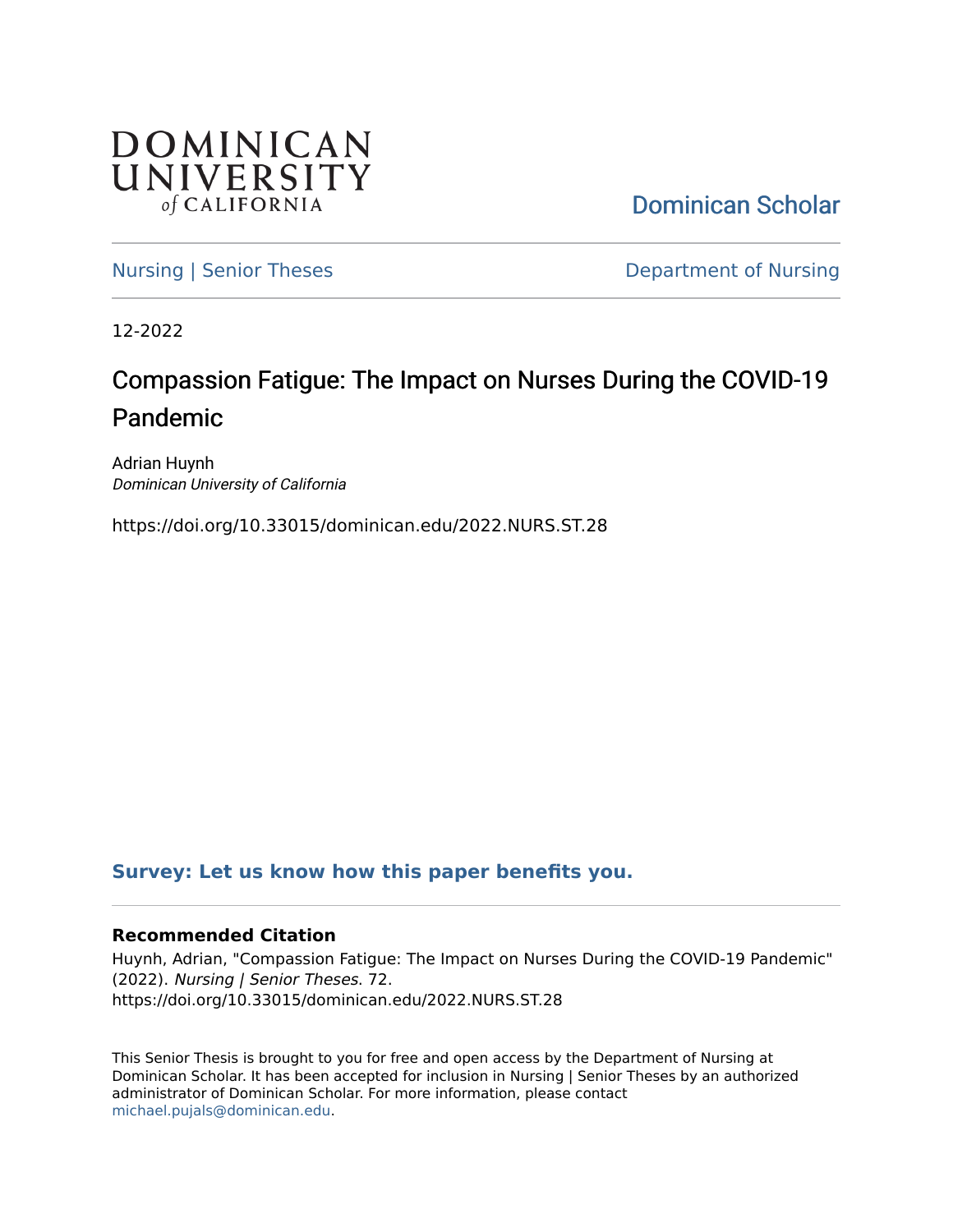

[Dominican Scholar](https://scholar.dominican.edu/) 

[Nursing | Senior Theses](https://scholar.dominican.edu/nursing-senior-theses) **Department of Nursing** 

12-2022

# Compassion Fatigue: The Impact on Nurses During the COVID-19 Pandemic

Adrian Huynh Dominican University of California

https://doi.org/10.33015/dominican.edu/2022.NURS.ST.28

## **[Survey: Let us know how this paper benefits you.](https://dominican.libwizard.com/dominican-scholar-feedback)**

### **Recommended Citation**

Huynh, Adrian, "Compassion Fatigue: The Impact on Nurses During the COVID-19 Pandemic" (2022). Nursing | Senior Theses. 72. https://doi.org/10.33015/dominican.edu/2022.NURS.ST.28

This Senior Thesis is brought to you for free and open access by the Department of Nursing at Dominican Scholar. It has been accepted for inclusion in Nursing | Senior Theses by an authorized administrator of Dominican Scholar. For more information, please contact [michael.pujals@dominican.edu.](mailto:michael.pujals@dominican.edu)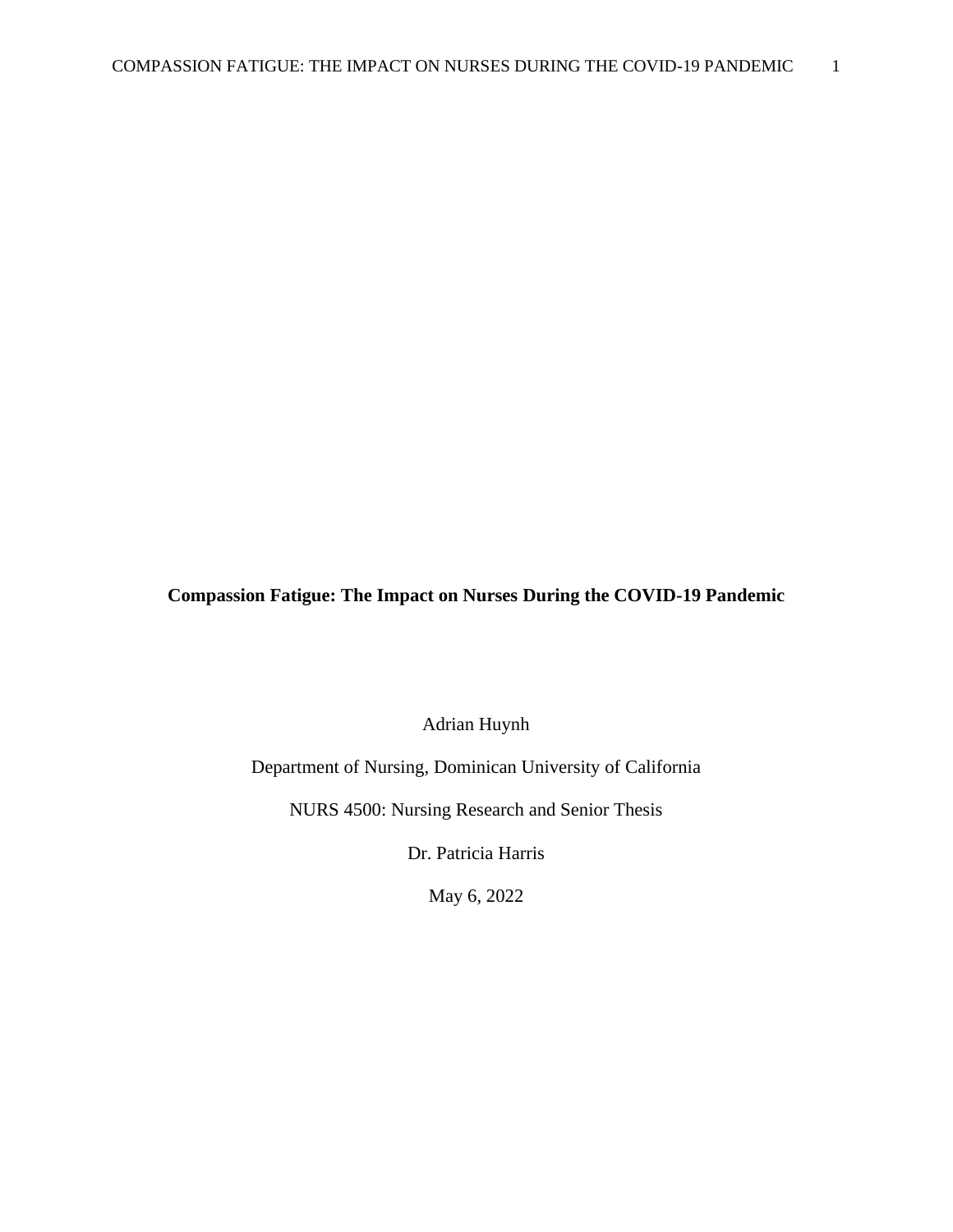## **Compassion Fatigue: The Impact on Nurses During the COVID-19 Pandemic**

Adrian Huynh

Department of Nursing, Dominican University of California

NURS 4500: Nursing Research and Senior Thesis

Dr. Patricia Harris

May 6, 2022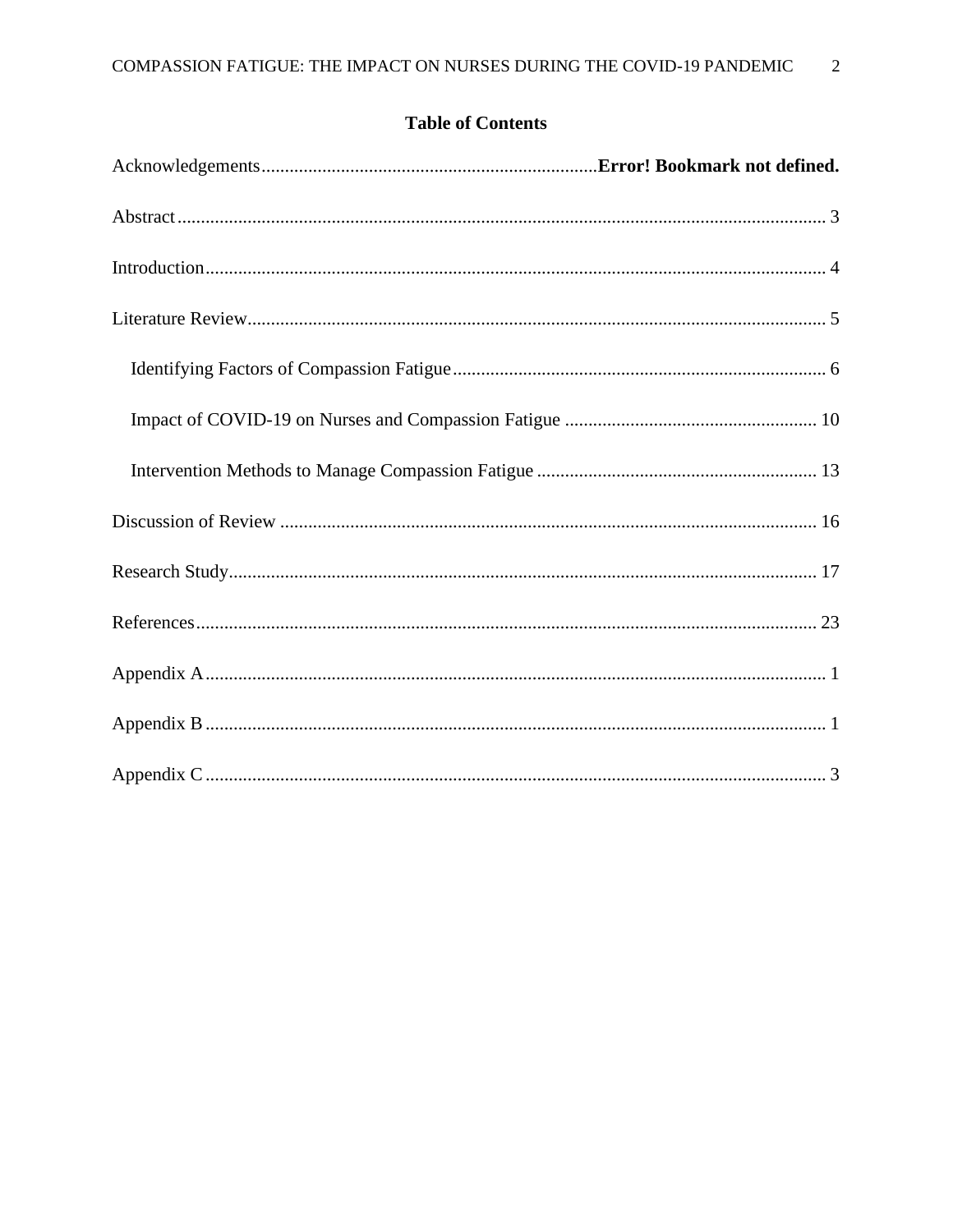## **Table of Contents**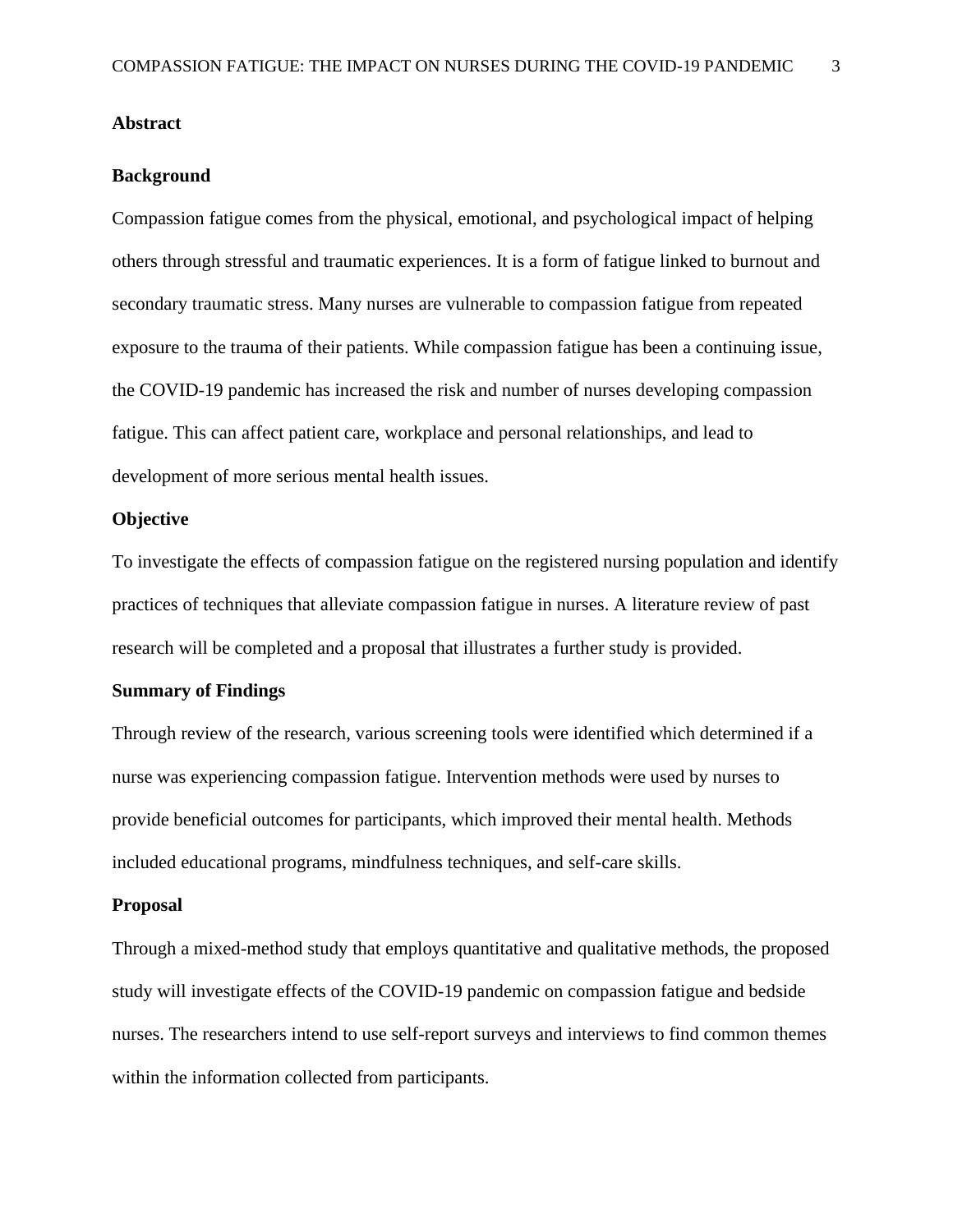#### <span id="page-3-0"></span>**Background**

Compassion fatigue comes from the physical, emotional, and psychological impact of helping others through stressful and traumatic experiences. It is a form of fatigue linked to burnout and secondary traumatic stress. Many nurses are vulnerable to compassion fatigue from repeated exposure to the trauma of their patients. While compassion fatigue has been a continuing issue, the COVID-19 pandemic has increased the risk and number of nurses developing compassion fatigue. This can affect patient care, workplace and personal relationships, and lead to development of more serious mental health issues.

#### **Objective**

To investigate the effects of compassion fatigue on the registered nursing population and identify practices of techniques that alleviate compassion fatigue in nurses. A literature review of past research will be completed and a proposal that illustrates a further study is provided.

#### **Summary of Findings**

Through review of the research, various screening tools were identified which determined if a nurse was experiencing compassion fatigue. Intervention methods were used by nurses to provide beneficial outcomes for participants, which improved their mental health. Methods included educational programs, mindfulness techniques, and self-care skills.

#### **Proposal**

Through a mixed-method study that employs quantitative and qualitative methods, the proposed study will investigate effects of the COVID-19 pandemic on compassion fatigue and bedside nurses. The researchers intend to use self-report surveys and interviews to find common themes within the information collected from participants.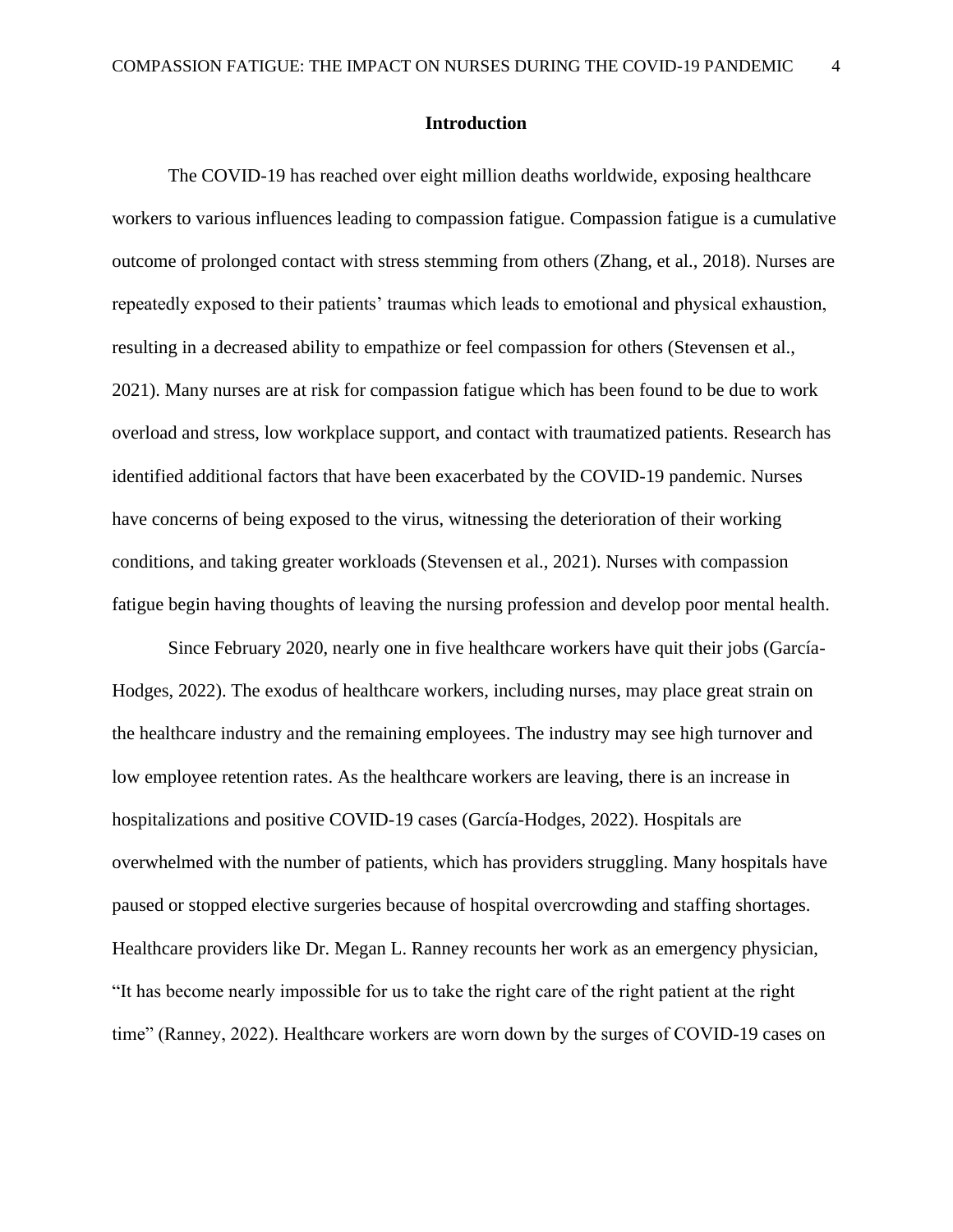## **Introduction**

<span id="page-4-0"></span>The COVID-19 has reached over eight million deaths worldwide, exposing healthcare workers to various influences leading to compassion fatigue. Compassion fatigue is a cumulative outcome of prolonged contact with stress stemming from others (Zhang, et al., 2018). Nurses are repeatedly exposed to their patients' traumas which leads to emotional and physical exhaustion, resulting in a decreased ability to empathize or feel compassion for others (Stevensen et al., 2021). Many nurses are at risk for compassion fatigue which has been found to be due to work overload and stress, low workplace support, and contact with traumatized patients. Research has identified additional factors that have been exacerbated by the COVID-19 pandemic. Nurses have concerns of being exposed to the virus, witnessing the deterioration of their working conditions, and taking greater workloads (Stevensen et al., 2021). Nurses with compassion fatigue begin having thoughts of leaving the nursing profession and develop poor mental health.

Since February 2020, nearly one in five healthcare workers have quit their jobs (García-Hodges, 2022). The exodus of healthcare workers, including nurses, may place great strain on the healthcare industry and the remaining employees. The industry may see high turnover and low employee retention rates. As the healthcare workers are leaving, there is an increase in hospitalizations and positive COVID-19 cases (García-Hodges, 2022). Hospitals are overwhelmed with the number of patients, which has providers struggling. Many hospitals have paused or stopped elective surgeries because of hospital overcrowding and staffing shortages. Healthcare providers like Dr. Megan L. Ranney recounts her work as an emergency physician, "It has become nearly impossible for us to take the right care of the right patient at the right time" (Ranney, 2022). Healthcare workers are worn down by the surges of COVID-19 cases on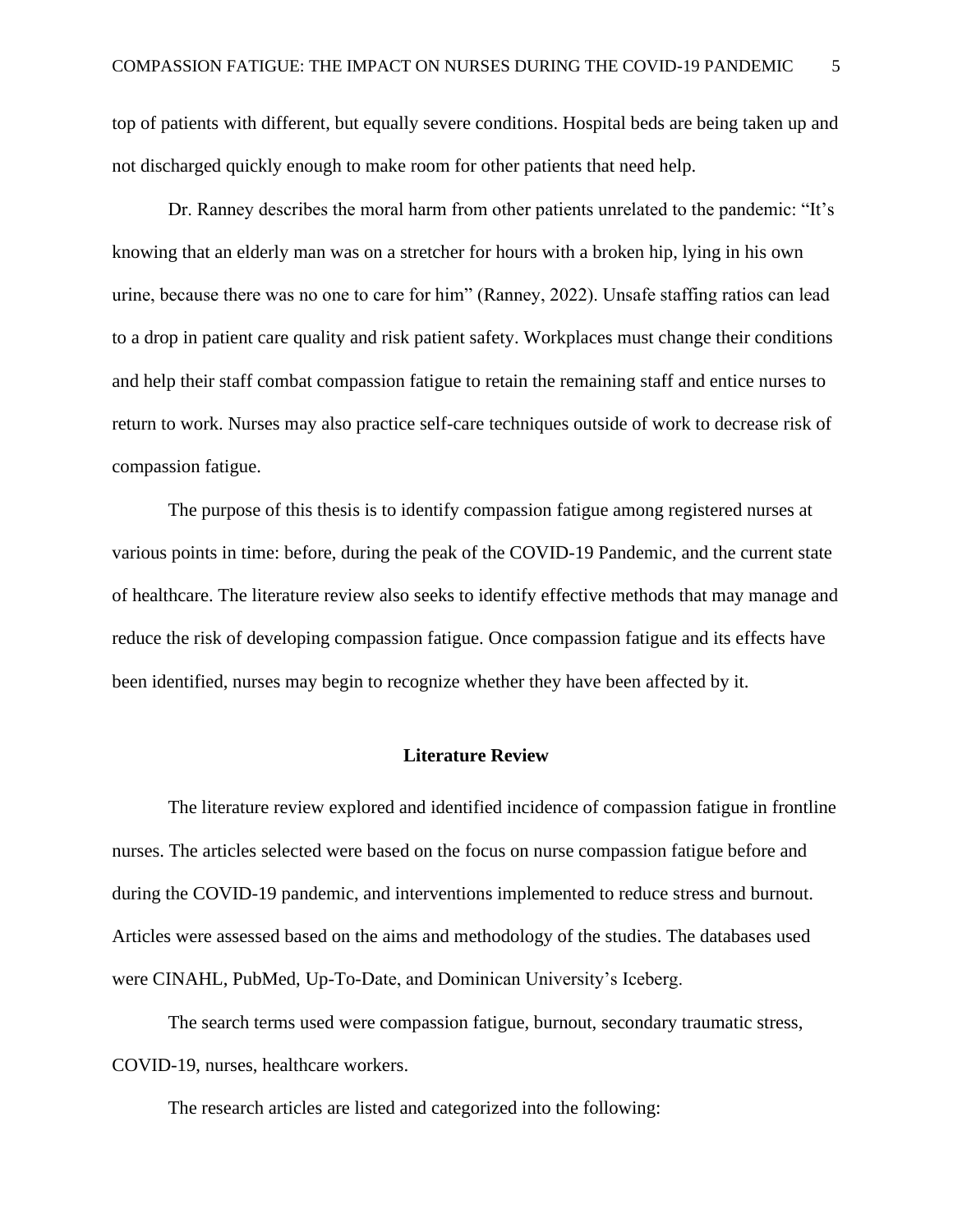top of patients with different, but equally severe conditions. Hospital beds are being taken up and not discharged quickly enough to make room for other patients that need help.

Dr. Ranney describes the moral harm from other patients unrelated to the pandemic: "It's knowing that an elderly man was on a stretcher for hours with a broken hip, lying in his own urine, because there was no one to care for him" (Ranney, 2022). Unsafe staffing ratios can lead to a drop in patient care quality and risk patient safety. Workplaces must change their conditions and help their staff combat compassion fatigue to retain the remaining staff and entice nurses to return to work. Nurses may also practice self-care techniques outside of work to decrease risk of compassion fatigue.

The purpose of this thesis is to identify compassion fatigue among registered nurses at various points in time: before, during the peak of the COVID-19 Pandemic, and the current state of healthcare. The literature review also seeks to identify effective methods that may manage and reduce the risk of developing compassion fatigue. Once compassion fatigue and its effects have been identified, nurses may begin to recognize whether they have been affected by it.

#### **Literature Review**

<span id="page-5-0"></span>The literature review explored and identified incidence of compassion fatigue in frontline nurses. The articles selected were based on the focus on nurse compassion fatigue before and during the COVID-19 pandemic, and interventions implemented to reduce stress and burnout. Articles were assessed based on the aims and methodology of the studies. The databases used were CINAHL, PubMed, Up-To-Date, and Dominican University's Iceberg.

The search terms used were compassion fatigue, burnout, secondary traumatic stress, COVID-19, nurses, healthcare workers.

The research articles are listed and categorized into the following: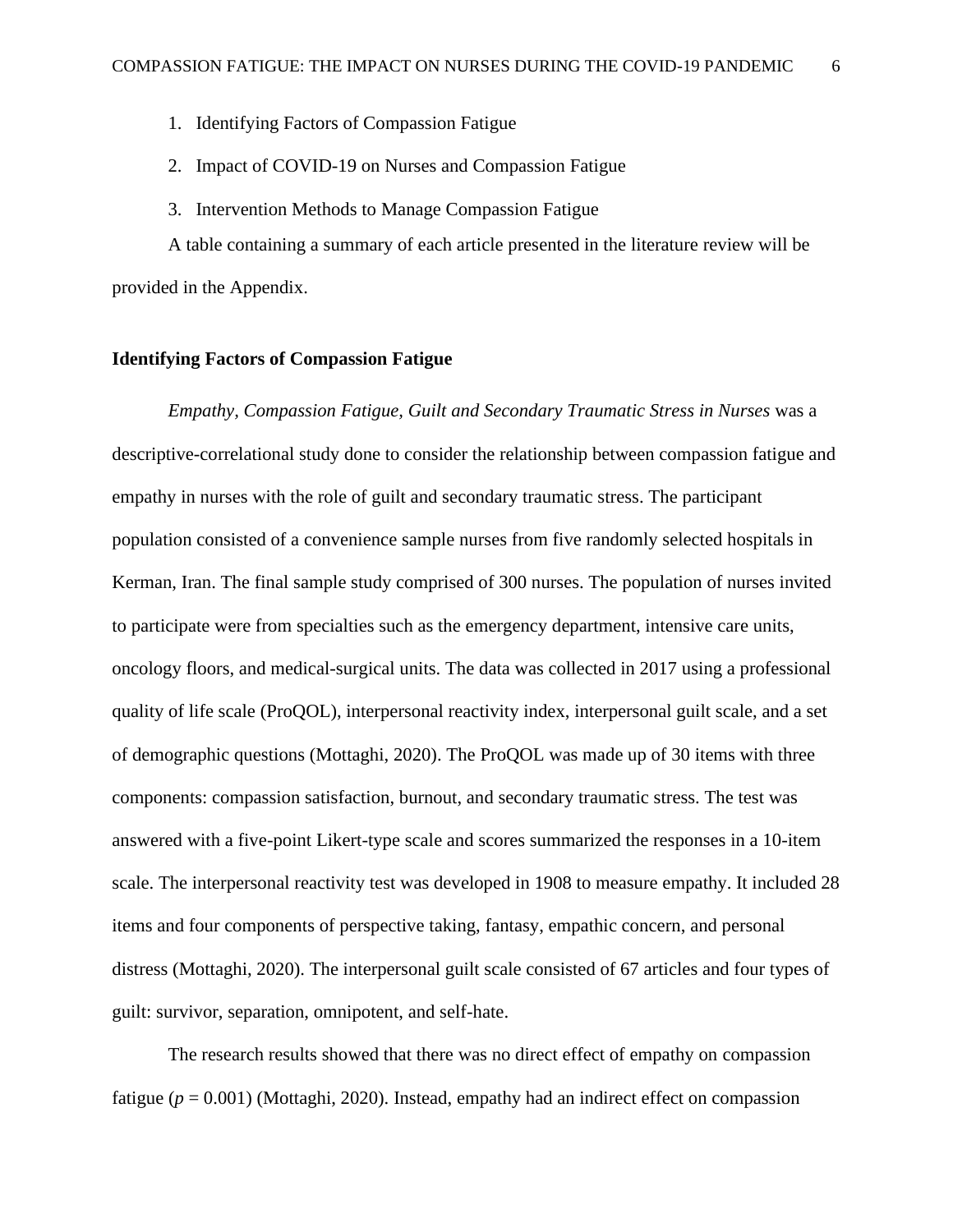- 1. Identifying Factors of Compassion Fatigue
- 2. Impact of COVID-19 on Nurses and Compassion Fatigue
- 3. Intervention Methods to Manage Compassion Fatigue

A table containing a summary of each article presented in the literature review will be provided in the Appendix.

#### <span id="page-6-0"></span>**Identifying Factors of Compassion Fatigue**

*Empathy, Compassion Fatigue, Guilt and Secondary Traumatic Stress in Nurses* was a descriptive-correlational study done to consider the relationship between compassion fatigue and empathy in nurses with the role of guilt and secondary traumatic stress. The participant population consisted of a convenience sample nurses from five randomly selected hospitals in Kerman, Iran. The final sample study comprised of 300 nurses. The population of nurses invited to participate were from specialties such as the emergency department, intensive care units, oncology floors, and medical-surgical units. The data was collected in 2017 using a professional quality of life scale (ProQOL), interpersonal reactivity index, interpersonal guilt scale, and a set of demographic questions (Mottaghi, 2020). The ProQOL was made up of 30 items with three components: compassion satisfaction, burnout, and secondary traumatic stress. The test was answered with a five-point Likert-type scale and scores summarized the responses in a 10-item scale. The interpersonal reactivity test was developed in 1908 to measure empathy. It included 28 items and four components of perspective taking, fantasy, empathic concern, and personal distress (Mottaghi, 2020). The interpersonal guilt scale consisted of 67 articles and four types of guilt: survivor, separation, omnipotent, and self-hate.

The research results showed that there was no direct effect of empathy on compassion fatigue  $(p = 0.001)$  (Mottaghi, 2020). Instead, empathy had an indirect effect on compassion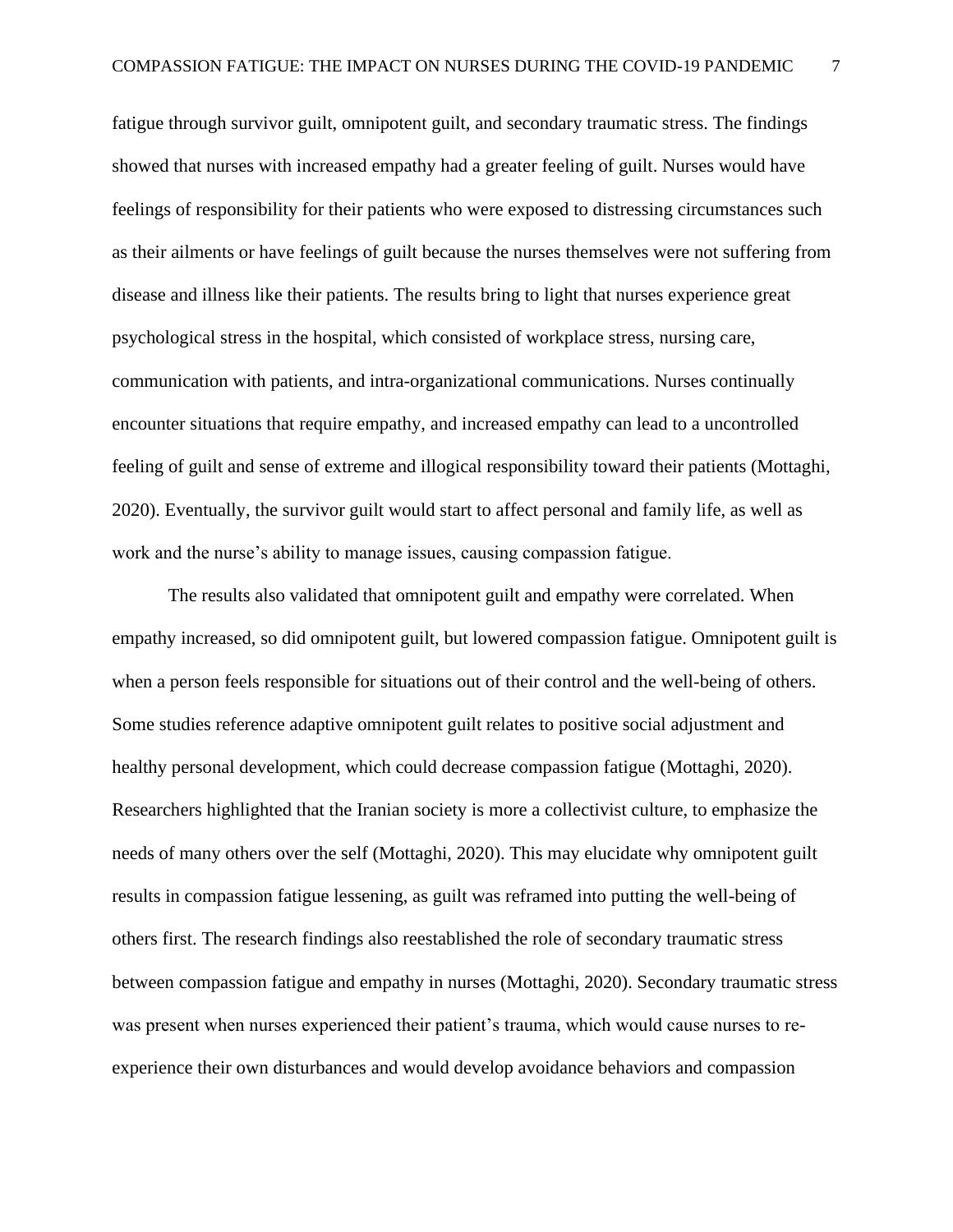fatigue through survivor guilt, omnipotent guilt, and secondary traumatic stress. The findings showed that nurses with increased empathy had a greater feeling of guilt. Nurses would have feelings of responsibility for their patients who were exposed to distressing circumstances such as their ailments or have feelings of guilt because the nurses themselves were not suffering from disease and illness like their patients. The results bring to light that nurses experience great psychological stress in the hospital, which consisted of workplace stress, nursing care, communication with patients, and intra-organizational communications. Nurses continually encounter situations that require empathy, and increased empathy can lead to a uncontrolled feeling of guilt and sense of extreme and illogical responsibility toward their patients (Mottaghi, 2020). Eventually, the survivor guilt would start to affect personal and family life, as well as work and the nurse's ability to manage issues, causing compassion fatigue.

The results also validated that omnipotent guilt and empathy were correlated. When empathy increased, so did omnipotent guilt, but lowered compassion fatigue. Omnipotent guilt is when a person feels responsible for situations out of their control and the well-being of others. Some studies reference adaptive omnipotent guilt relates to positive social adjustment and healthy personal development, which could decrease compassion fatigue (Mottaghi, 2020). Researchers highlighted that the Iranian society is more a collectivist culture, to emphasize the needs of many others over the self (Mottaghi, 2020). This may elucidate why omnipotent guilt results in compassion fatigue lessening, as guilt was reframed into putting the well-being of others first. The research findings also reestablished the role of secondary traumatic stress between compassion fatigue and empathy in nurses (Mottaghi, 2020). Secondary traumatic stress was present when nurses experienced their patient's trauma, which would cause nurses to reexperience their own disturbances and would develop avoidance behaviors and compassion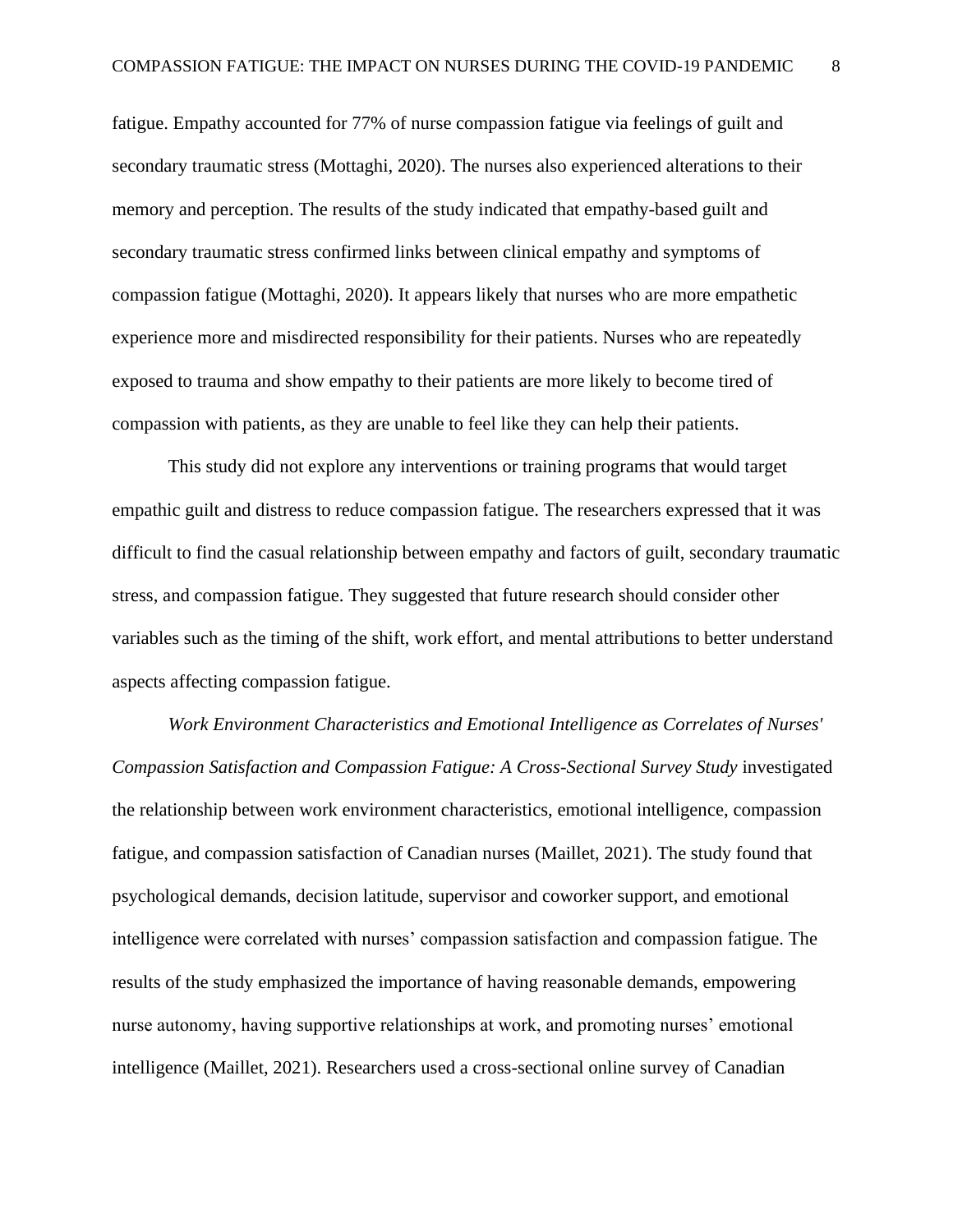fatigue. Empathy accounted for 77% of nurse compassion fatigue via feelings of guilt and secondary traumatic stress (Mottaghi, 2020). The nurses also experienced alterations to their memory and perception. The results of the study indicated that empathy-based guilt and secondary traumatic stress confirmed links between clinical empathy and symptoms of compassion fatigue (Mottaghi, 2020). It appears likely that nurses who are more empathetic experience more and misdirected responsibility for their patients. Nurses who are repeatedly exposed to trauma and show empathy to their patients are more likely to become tired of compassion with patients, as they are unable to feel like they can help their patients.

This study did not explore any interventions or training programs that would target empathic guilt and distress to reduce compassion fatigue. The researchers expressed that it was difficult to find the casual relationship between empathy and factors of guilt, secondary traumatic stress, and compassion fatigue. They suggested that future research should consider other variables such as the timing of the shift, work effort, and mental attributions to better understand aspects affecting compassion fatigue.

*Work Environment Characteristics and Emotional Intelligence as Correlates of Nurses' Compassion Satisfaction and Compassion Fatigue: A Cross-Sectional Survey Study* investigated the relationship between work environment characteristics, emotional intelligence, compassion fatigue, and compassion satisfaction of Canadian nurses (Maillet, 2021). The study found that psychological demands, decision latitude, supervisor and coworker support, and emotional intelligence were correlated with nurses' compassion satisfaction and compassion fatigue. The results of the study emphasized the importance of having reasonable demands, empowering nurse autonomy, having supportive relationships at work, and promoting nurses' emotional intelligence (Maillet, 2021). Researchers used a cross-sectional online survey of Canadian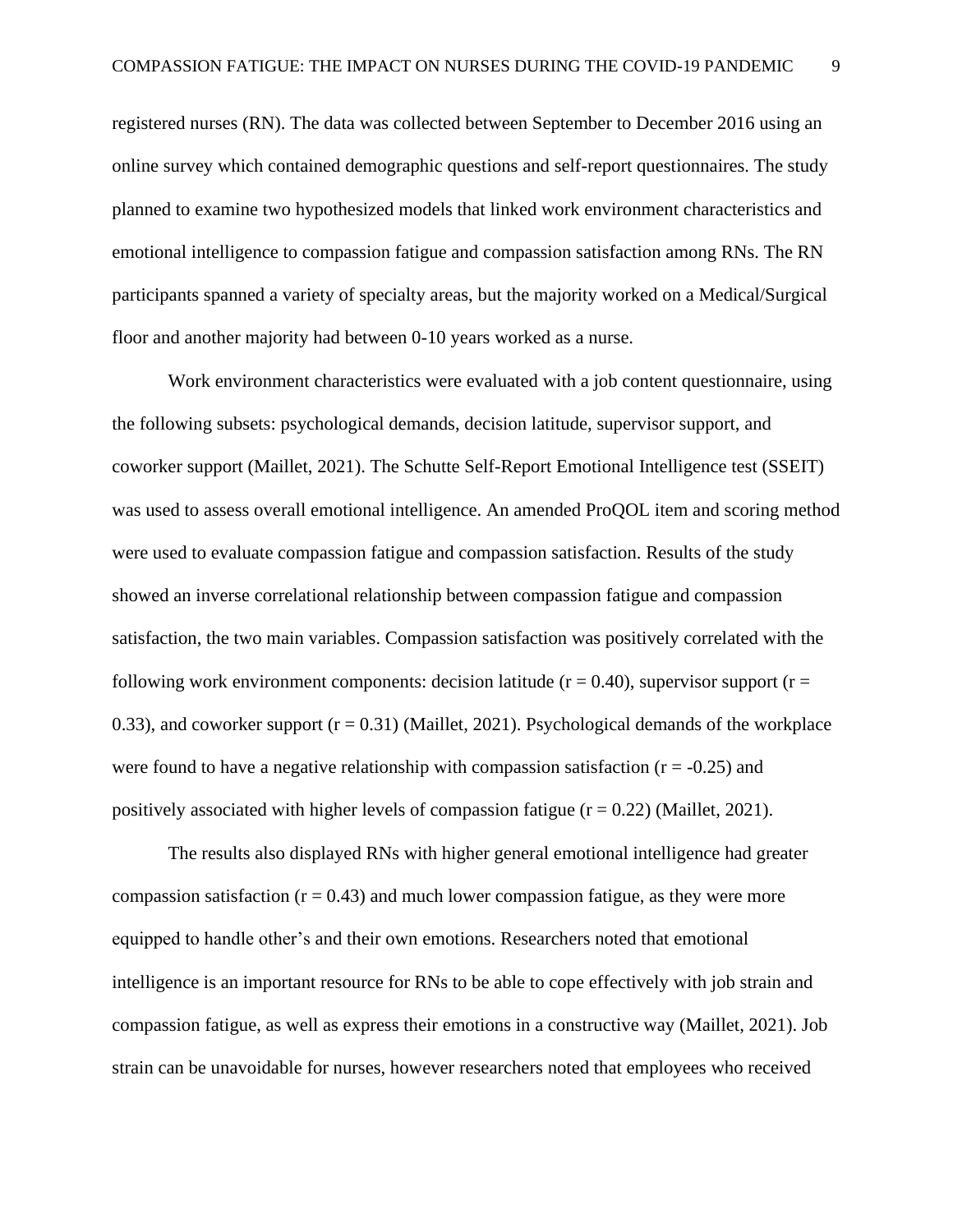registered nurses (RN). The data was collected between September to December 2016 using an online survey which contained demographic questions and self-report questionnaires. The study planned to examine two hypothesized models that linked work environment characteristics and emotional intelligence to compassion fatigue and compassion satisfaction among RNs. The RN participants spanned a variety of specialty areas, but the majority worked on a Medical/Surgical floor and another majority had between 0-10 years worked as a nurse.

Work environment characteristics were evaluated with a job content questionnaire, using the following subsets: psychological demands, decision latitude, supervisor support, and coworker support (Maillet, 2021). The Schutte Self-Report Emotional Intelligence test (SSEIT) was used to assess overall emotional intelligence. An amended ProQOL item and scoring method were used to evaluate compassion fatigue and compassion satisfaction. Results of the study showed an inverse correlational relationship between compassion fatigue and compassion satisfaction, the two main variables. Compassion satisfaction was positively correlated with the following work environment components: decision latitude ( $r = 0.40$ ), supervisor support ( $r =$ 0.33), and coworker support  $(r = 0.31)$  (Maillet, 2021). Psychological demands of the workplace were found to have a negative relationship with compassion satisfaction ( $r = -0.25$ ) and positively associated with higher levels of compassion fatigue  $(r = 0.22)$  (Maillet, 2021).

The results also displayed RNs with higher general emotional intelligence had greater compassion satisfaction  $(r = 0.43)$  and much lower compassion fatigue, as they were more equipped to handle other's and their own emotions. Researchers noted that emotional intelligence is an important resource for RNs to be able to cope effectively with job strain and compassion fatigue, as well as express their emotions in a constructive way (Maillet, 2021). Job strain can be unavoidable for nurses, however researchers noted that employees who received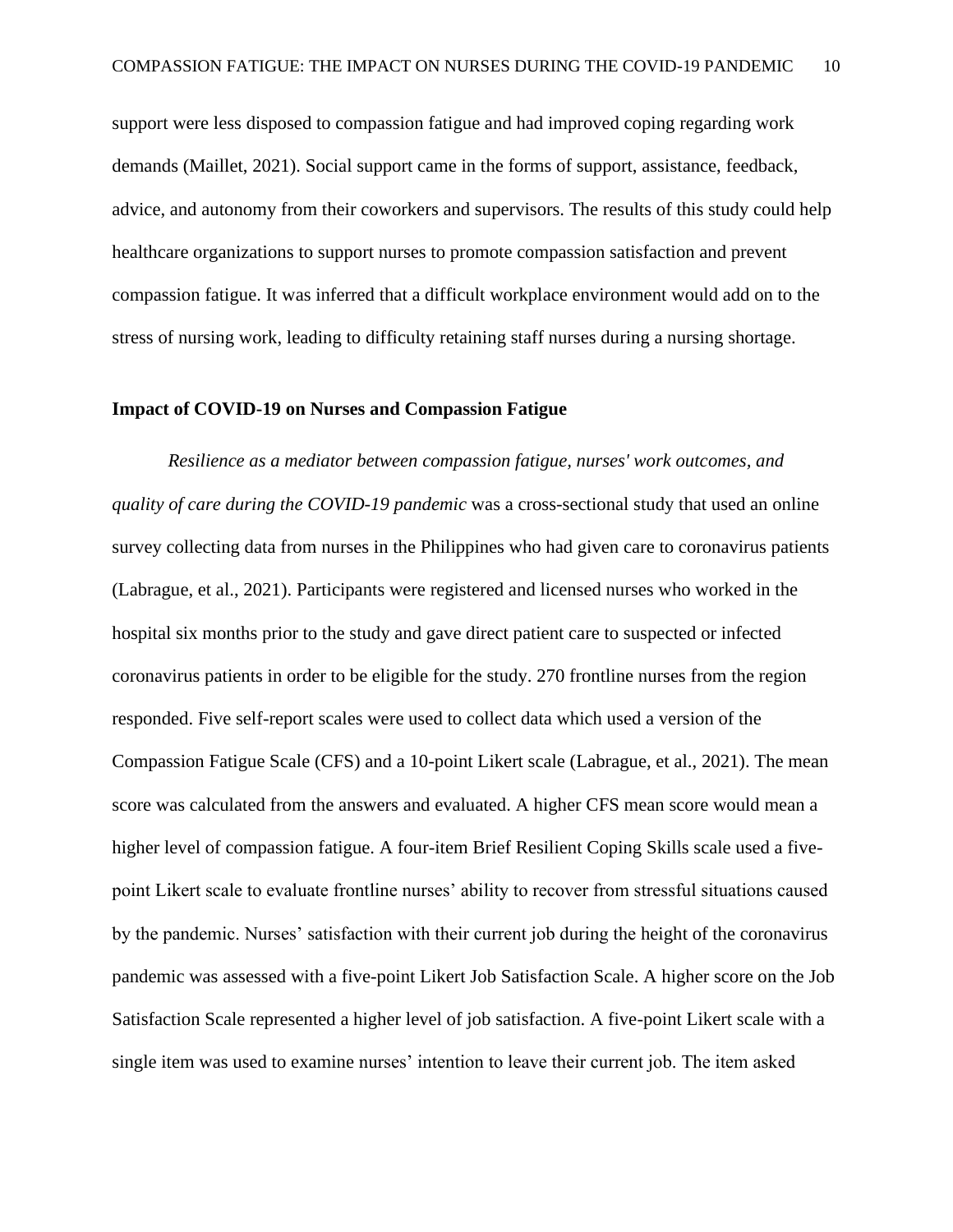support were less disposed to compassion fatigue and had improved coping regarding work demands (Maillet, 2021). Social support came in the forms of support, assistance, feedback, advice, and autonomy from their coworkers and supervisors. The results of this study could help healthcare organizations to support nurses to promote compassion satisfaction and prevent compassion fatigue. It was inferred that a difficult workplace environment would add on to the stress of nursing work, leading to difficulty retaining staff nurses during a nursing shortage.

#### <span id="page-10-0"></span>**Impact of COVID-19 on Nurses and Compassion Fatigue**

*Resilience as a mediator between compassion fatigue, nurses' work outcomes, and quality of care during the COVID-19 pandemic* was a cross-sectional study that used an online survey collecting data from nurses in the Philippines who had given care to coronavirus patients (Labrague, et al., 2021). Participants were registered and licensed nurses who worked in the hospital six months prior to the study and gave direct patient care to suspected or infected coronavirus patients in order to be eligible for the study. 270 frontline nurses from the region responded. Five self-report scales were used to collect data which used a version of the Compassion Fatigue Scale (CFS) and a 10-point Likert scale (Labrague, et al., 2021). The mean score was calculated from the answers and evaluated. A higher CFS mean score would mean a higher level of compassion fatigue. A four-item Brief Resilient Coping Skills scale used a fivepoint Likert scale to evaluate frontline nurses' ability to recover from stressful situations caused by the pandemic. Nurses' satisfaction with their current job during the height of the coronavirus pandemic was assessed with a five-point Likert Job Satisfaction Scale. A higher score on the Job Satisfaction Scale represented a higher level of job satisfaction. A five-point Likert scale with a single item was used to examine nurses' intention to leave their current job. The item asked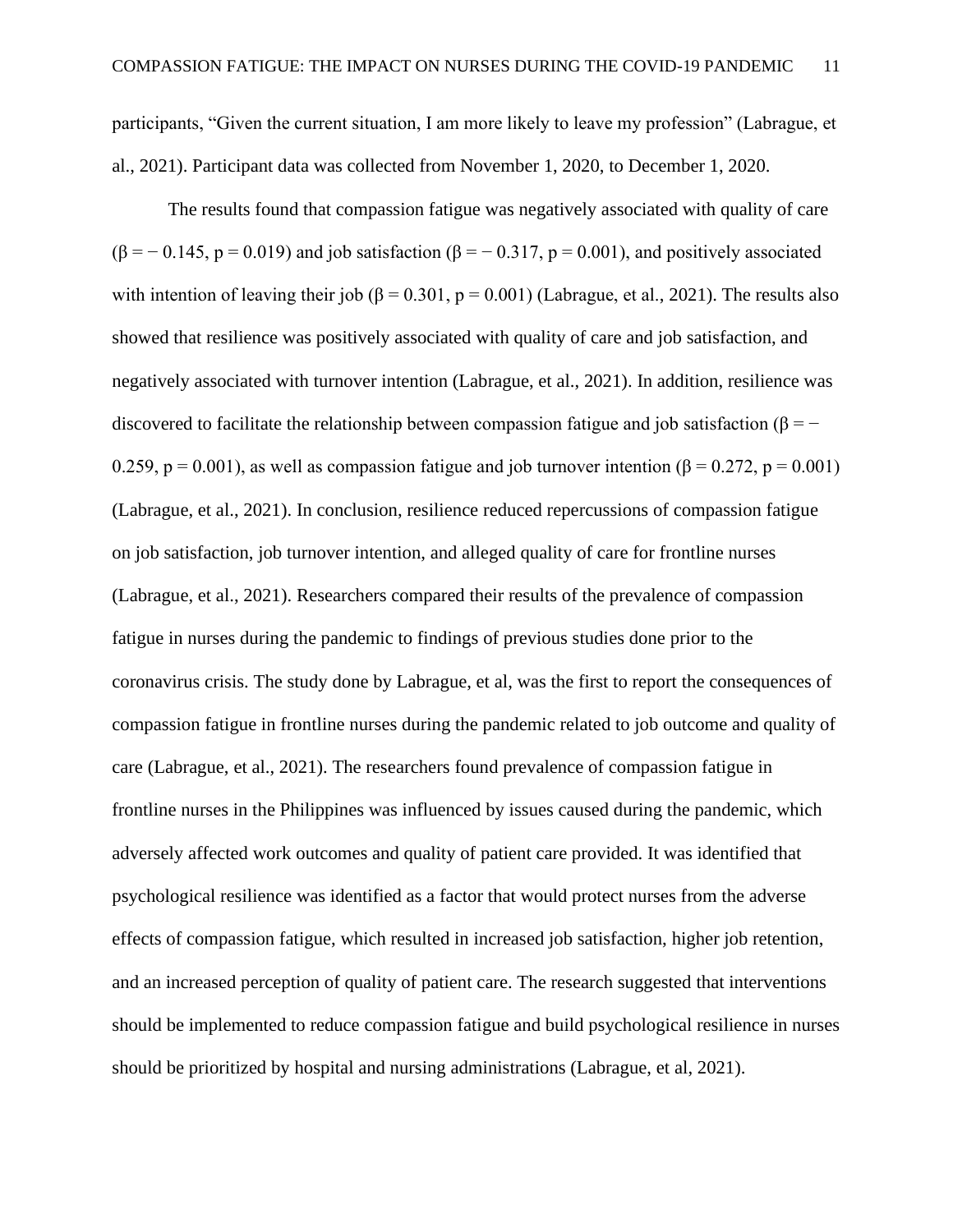participants, "Given the current situation, I am more likely to leave my profession" (Labrague, et al., 2021). Participant data was collected from November 1, 2020, to December 1, 2020.

The results found that compassion fatigue was negatively associated with quality of care  $(\beta = -0.145, p = 0.019)$  and job satisfaction  $(\beta = -0.317, p = 0.001)$ , and positively associated with intention of leaving their job ( $\beta$  = 0.301, p = 0.001) (Labrague, et al., 2021). The results also showed that resilience was positively associated with quality of care and job satisfaction, and negatively associated with turnover intention (Labrague, et al., 2021). In addition, resilience was discovered to facilitate the relationship between compassion fatigue and job satisfaction ( $\beta = -$ 0.259, p = 0.001), as well as compassion fatigue and job turnover intention ( $\beta$  = 0.272, p = 0.001) (Labrague, et al., 2021). In conclusion, resilience reduced repercussions of compassion fatigue on job satisfaction, job turnover intention, and alleged quality of care for frontline nurses (Labrague, et al., 2021). Researchers compared their results of the prevalence of compassion fatigue in nurses during the pandemic to findings of previous studies done prior to the coronavirus crisis. The study done by Labrague, et al, was the first to report the consequences of compassion fatigue in frontline nurses during the pandemic related to job outcome and quality of care (Labrague, et al., 2021). The researchers found prevalence of compassion fatigue in frontline nurses in the Philippines was influenced by issues caused during the pandemic, which adversely affected work outcomes and quality of patient care provided. It was identified that psychological resilience was identified as a factor that would protect nurses from the adverse effects of compassion fatigue, which resulted in increased job satisfaction, higher job retention, and an increased perception of quality of patient care. The research suggested that interventions should be implemented to reduce compassion fatigue and build psychological resilience in nurses should be prioritized by hospital and nursing administrations (Labrague, et al, 2021).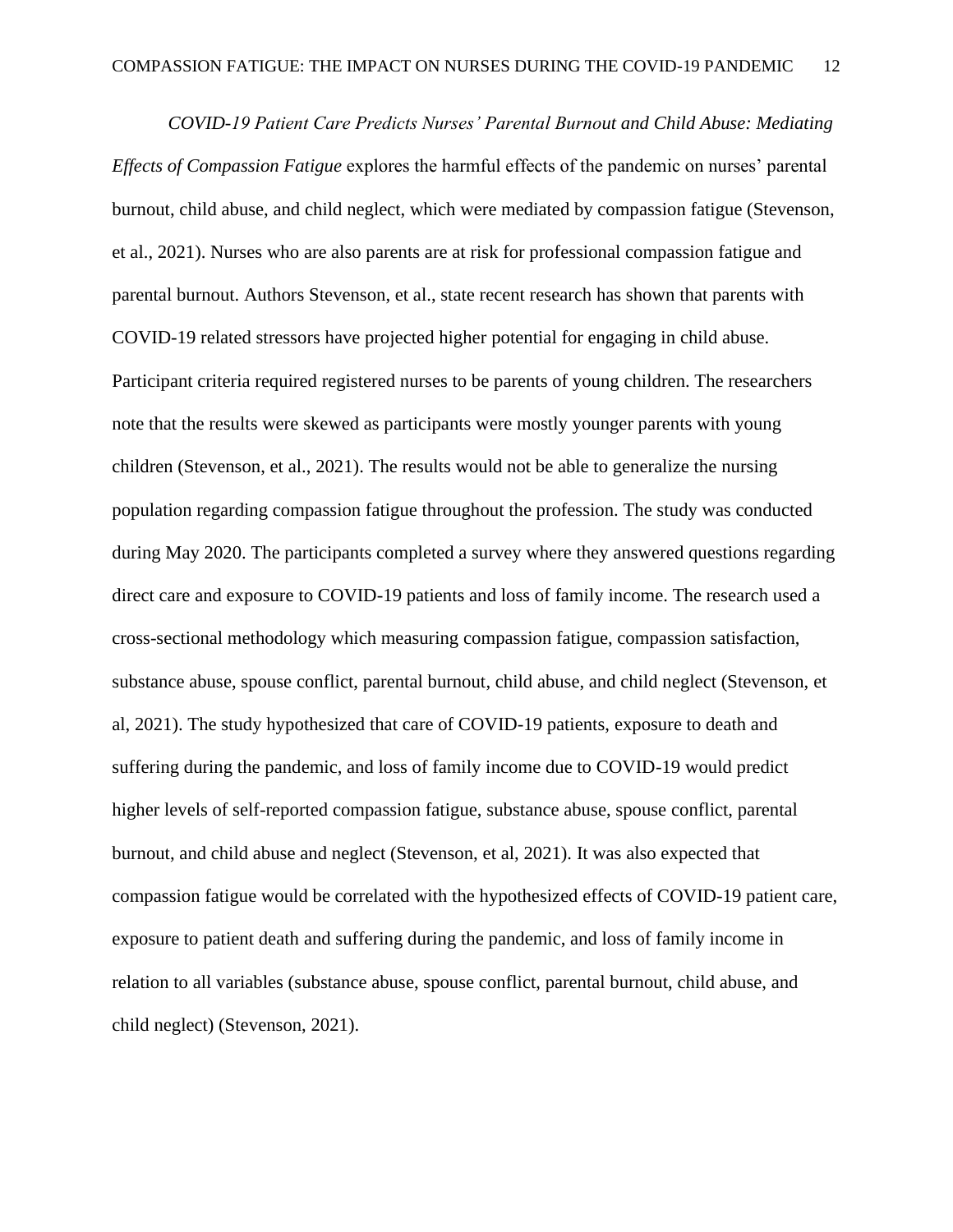*COVID-19 Patient Care Predicts Nurses' Parental Burnout and Child Abuse: Mediating Effects of Compassion Fatigue* explores the harmful effects of the pandemic on nurses' parental burnout, child abuse, and child neglect, which were mediated by compassion fatigue (Stevenson, et al., 2021). Nurses who are also parents are at risk for professional compassion fatigue and parental burnout. Authors Stevenson, et al., state recent research has shown that parents with COVID-19 related stressors have projected higher potential for engaging in child abuse. Participant criteria required registered nurses to be parents of young children. The researchers note that the results were skewed as participants were mostly younger parents with young children (Stevenson, et al., 2021). The results would not be able to generalize the nursing population regarding compassion fatigue throughout the profession. The study was conducted during May 2020. The participants completed a survey where they answered questions regarding direct care and exposure to COVID-19 patients and loss of family income. The research used a cross-sectional methodology which measuring compassion fatigue, compassion satisfaction, substance abuse, spouse conflict, parental burnout, child abuse, and child neglect (Stevenson, et al, 2021). The study hypothesized that care of COVID-19 patients, exposure to death and suffering during the pandemic, and loss of family income due to COVID-19 would predict higher levels of self-reported compassion fatigue, substance abuse, spouse conflict, parental burnout, and child abuse and neglect (Stevenson, et al, 2021). It was also expected that compassion fatigue would be correlated with the hypothesized effects of COVID-19 patient care, exposure to patient death and suffering during the pandemic, and loss of family income in relation to all variables (substance abuse, spouse conflict, parental burnout, child abuse, and child neglect) (Stevenson, 2021).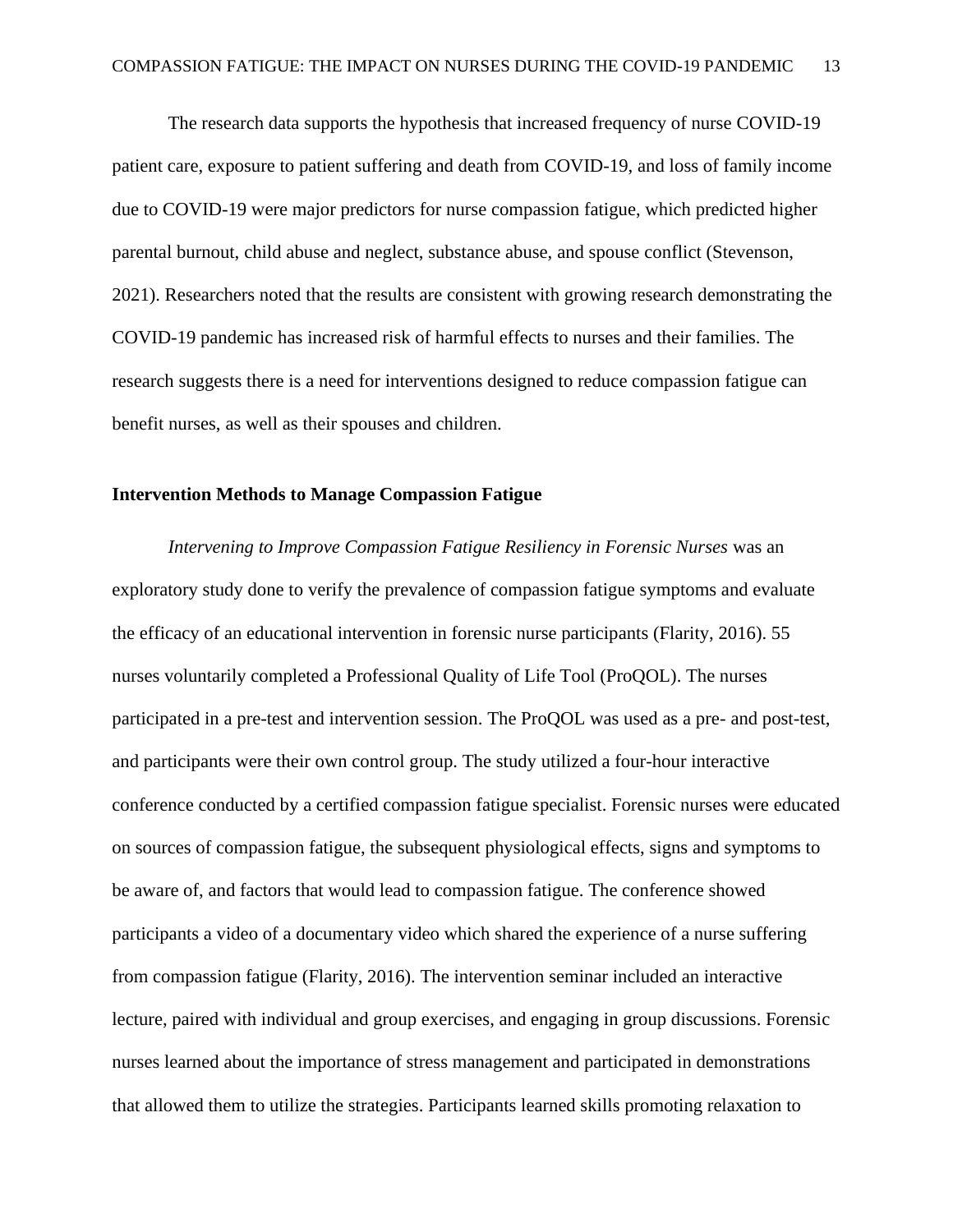The research data supports the hypothesis that increased frequency of nurse COVID-19 patient care, exposure to patient suffering and death from COVID-19, and loss of family income due to COVID-19 were major predictors for nurse compassion fatigue, which predicted higher parental burnout, child abuse and neglect, substance abuse, and spouse conflict (Stevenson, 2021). Researchers noted that the results are consistent with growing research demonstrating the COVID-19 pandemic has increased risk of harmful effects to nurses and their families. The research suggests there is a need for interventions designed to reduce compassion fatigue can benefit nurses, as well as their spouses and children.

#### <span id="page-13-0"></span>**Intervention Methods to Manage Compassion Fatigue**

*Intervening to Improve Compassion Fatigue Resiliency in Forensic Nurses* was an exploratory study done to verify the prevalence of compassion fatigue symptoms and evaluate the efficacy of an educational intervention in forensic nurse participants (Flarity, 2016). 55 nurses voluntarily completed a Professional Quality of Life Tool (ProQOL). The nurses participated in a pre-test and intervention session. The ProQOL was used as a pre- and post-test, and participants were their own control group. The study utilized a four-hour interactive conference conducted by a certified compassion fatigue specialist. Forensic nurses were educated on sources of compassion fatigue, the subsequent physiological effects, signs and symptoms to be aware of, and factors that would lead to compassion fatigue. The conference showed participants a video of a documentary video which shared the experience of a nurse suffering from compassion fatigue (Flarity, 2016). The intervention seminar included an interactive lecture, paired with individual and group exercises, and engaging in group discussions. Forensic nurses learned about the importance of stress management and participated in demonstrations that allowed them to utilize the strategies. Participants learned skills promoting relaxation to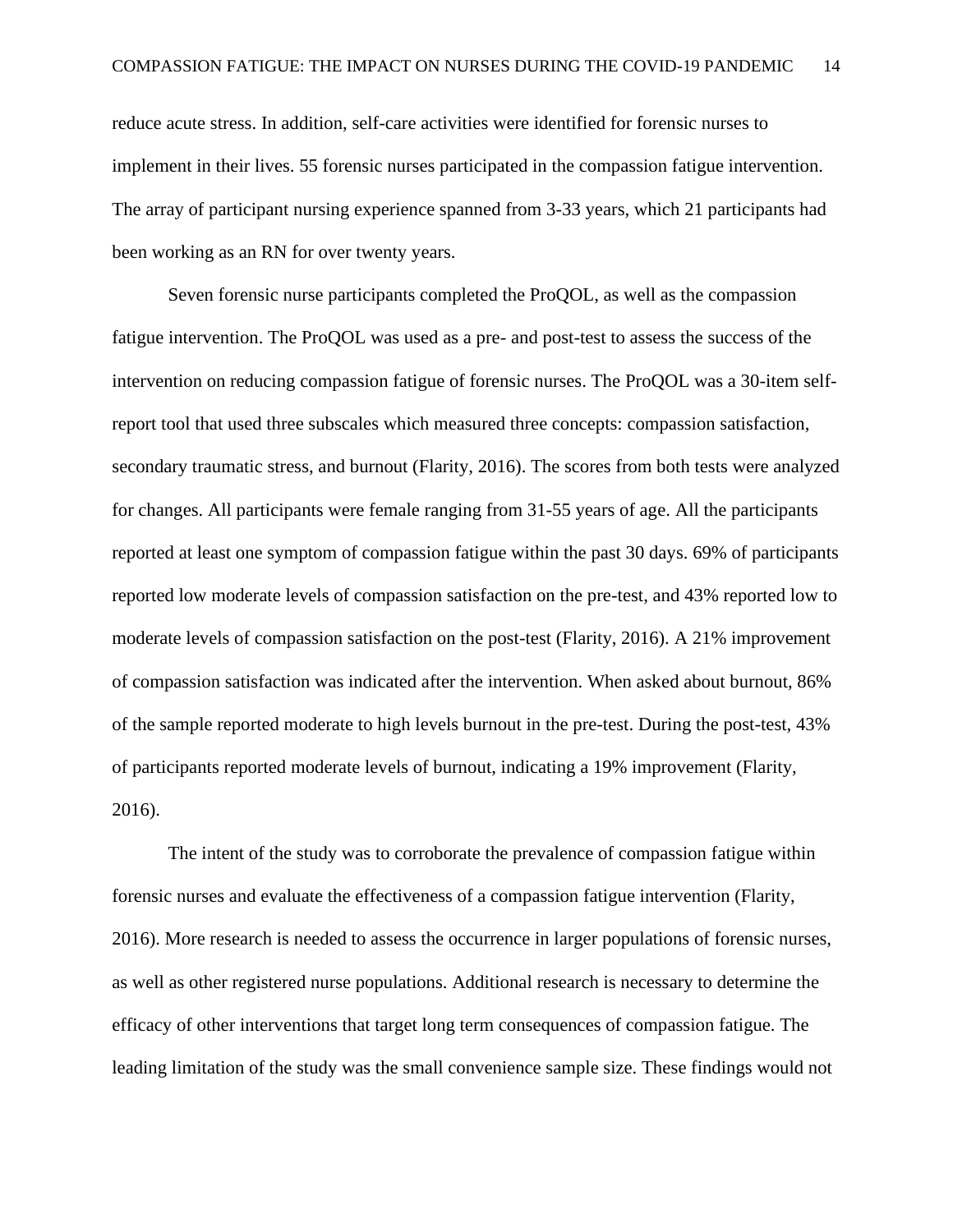reduce acute stress. In addition, self-care activities were identified for forensic nurses to implement in their lives. 55 forensic nurses participated in the compassion fatigue intervention. The array of participant nursing experience spanned from 3-33 years, which 21 participants had been working as an RN for over twenty years.

Seven forensic nurse participants completed the ProQOL, as well as the compassion fatigue intervention. The ProQOL was used as a pre- and post-test to assess the success of the intervention on reducing compassion fatigue of forensic nurses. The ProQOL was a 30-item selfreport tool that used three subscales which measured three concepts: compassion satisfaction, secondary traumatic stress, and burnout (Flarity, 2016). The scores from both tests were analyzed for changes. All participants were female ranging from 31-55 years of age. All the participants reported at least one symptom of compassion fatigue within the past 30 days. 69% of participants reported low moderate levels of compassion satisfaction on the pre-test, and 43% reported low to moderate levels of compassion satisfaction on the post-test (Flarity, 2016). A 21% improvement of compassion satisfaction was indicated after the intervention. When asked about burnout, 86% of the sample reported moderate to high levels burnout in the pre-test. During the post-test, 43% of participants reported moderate levels of burnout, indicating a 19% improvement (Flarity, 2016).

The intent of the study was to corroborate the prevalence of compassion fatigue within forensic nurses and evaluate the effectiveness of a compassion fatigue intervention (Flarity, 2016). More research is needed to assess the occurrence in larger populations of forensic nurses, as well as other registered nurse populations. Additional research is necessary to determine the efficacy of other interventions that target long term consequences of compassion fatigue. The leading limitation of the study was the small convenience sample size. These findings would not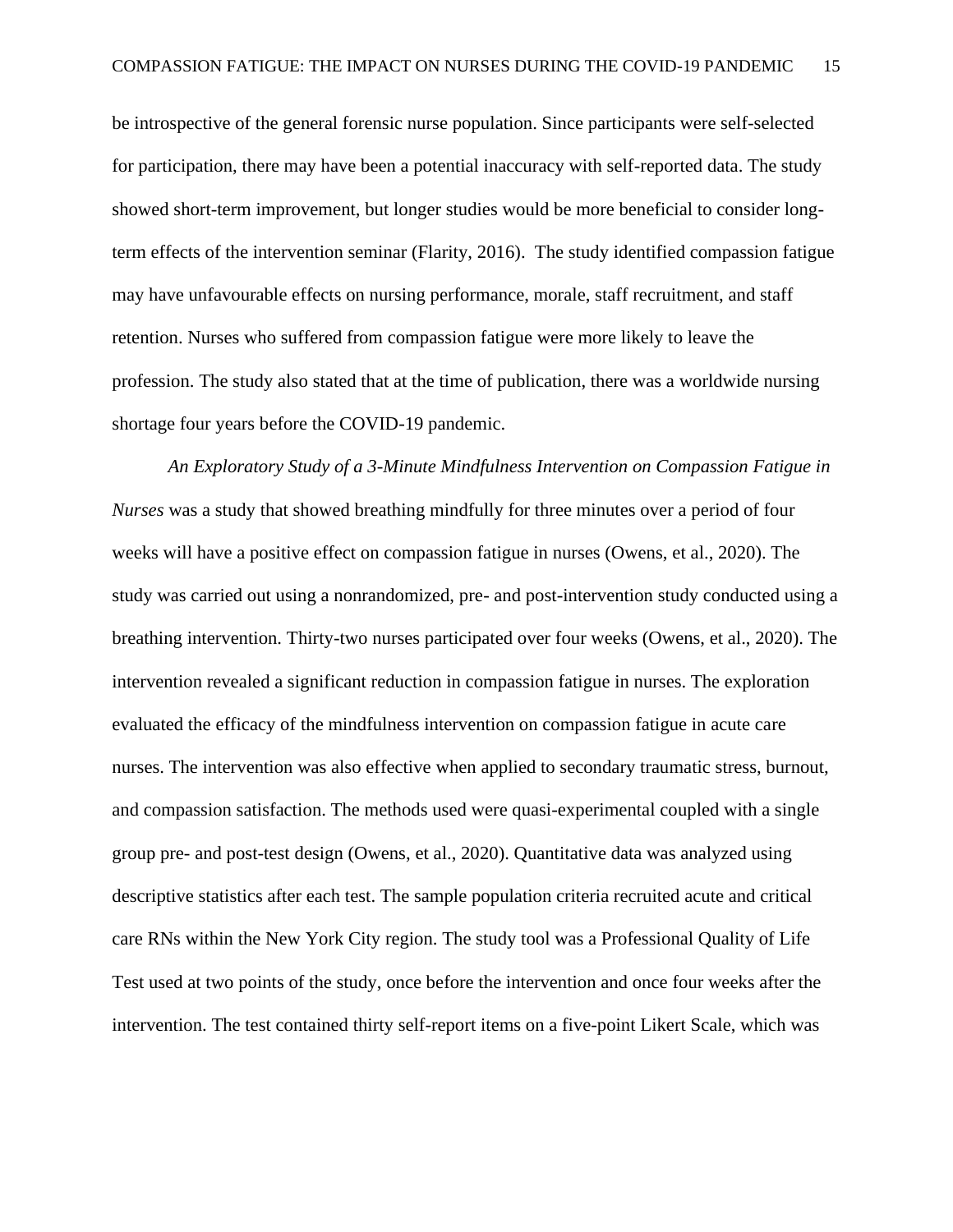be introspective of the general forensic nurse population. Since participants were self-selected for participation, there may have been a potential inaccuracy with self-reported data. The study showed short-term improvement, but longer studies would be more beneficial to consider longterm effects of the intervention seminar (Flarity, 2016). The study identified compassion fatigue may have unfavourable effects on nursing performance, morale, staff recruitment, and staff retention. Nurses who suffered from compassion fatigue were more likely to leave the profession. The study also stated that at the time of publication, there was a worldwide nursing shortage four years before the COVID-19 pandemic.

*An Exploratory Study of a 3-Minute Mindfulness Intervention on Compassion Fatigue in Nurses* was a study that showed breathing mindfully for three minutes over a period of four weeks will have a positive effect on compassion fatigue in nurses (Owens, et al., 2020). The study was carried out using a nonrandomized, pre- and post-intervention study conducted using a breathing intervention. Thirty-two nurses participated over four weeks (Owens, et al., 2020). The intervention revealed a significant reduction in compassion fatigue in nurses. The exploration evaluated the efficacy of the mindfulness intervention on compassion fatigue in acute care nurses. The intervention was also effective when applied to secondary traumatic stress, burnout, and compassion satisfaction. The methods used were quasi-experimental coupled with a single group pre- and post-test design (Owens, et al., 2020). Quantitative data was analyzed using descriptive statistics after each test. The sample population criteria recruited acute and critical care RNs within the New York City region. The study tool was a Professional Quality of Life Test used at two points of the study, once before the intervention and once four weeks after the intervention. The test contained thirty self-report items on a five-point Likert Scale, which was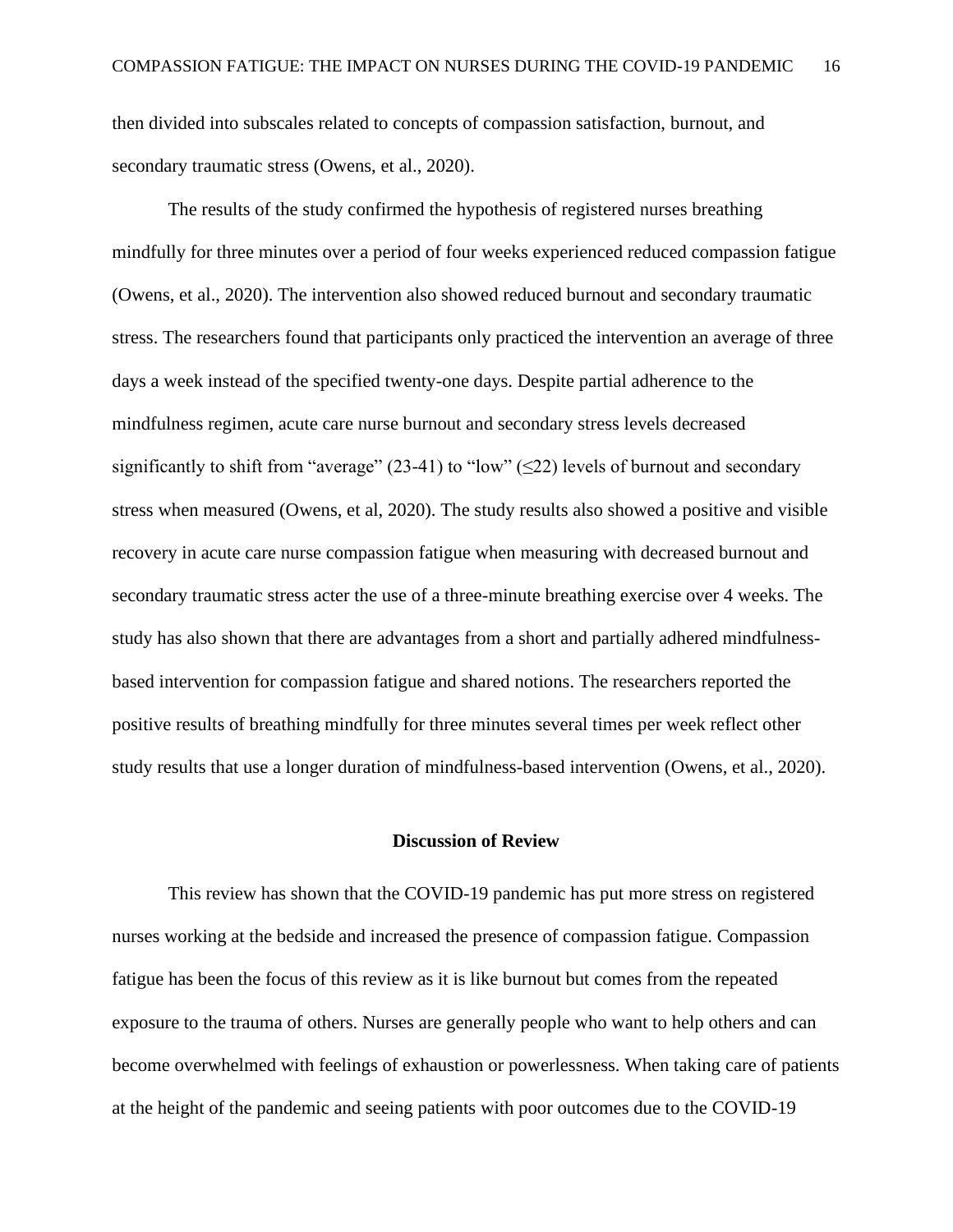then divided into subscales related to concepts of compassion satisfaction, burnout, and secondary traumatic stress (Owens, et al., 2020).

The results of the study confirmed the hypothesis of registered nurses breathing mindfully for three minutes over a period of four weeks experienced reduced compassion fatigue (Owens, et al., 2020). The intervention also showed reduced burnout and secondary traumatic stress. The researchers found that participants only practiced the intervention an average of three days a week instead of the specified twenty-one days. Despite partial adherence to the mindfulness regimen, acute care nurse burnout and secondary stress levels decreased significantly to shift from "average" (23-41) to "low" ( $\leq$ 22) levels of burnout and secondary stress when measured (Owens, et al, 2020). The study results also showed a positive and visible recovery in acute care nurse compassion fatigue when measuring with decreased burnout and secondary traumatic stress acter the use of a three-minute breathing exercise over 4 weeks. The study has also shown that there are advantages from a short and partially adhered mindfulnessbased intervention for compassion fatigue and shared notions. The researchers reported the positive results of breathing mindfully for three minutes several times per week reflect other study results that use a longer duration of mindfulness-based intervention (Owens, et al., 2020).

#### **Discussion of Review**

<span id="page-16-0"></span>This review has shown that the COVID-19 pandemic has put more stress on registered nurses working at the bedside and increased the presence of compassion fatigue. Compassion fatigue has been the focus of this review as it is like burnout but comes from the repeated exposure to the trauma of others. Nurses are generally people who want to help others and can become overwhelmed with feelings of exhaustion or powerlessness. When taking care of patients at the height of the pandemic and seeing patients with poor outcomes due to the COVID-19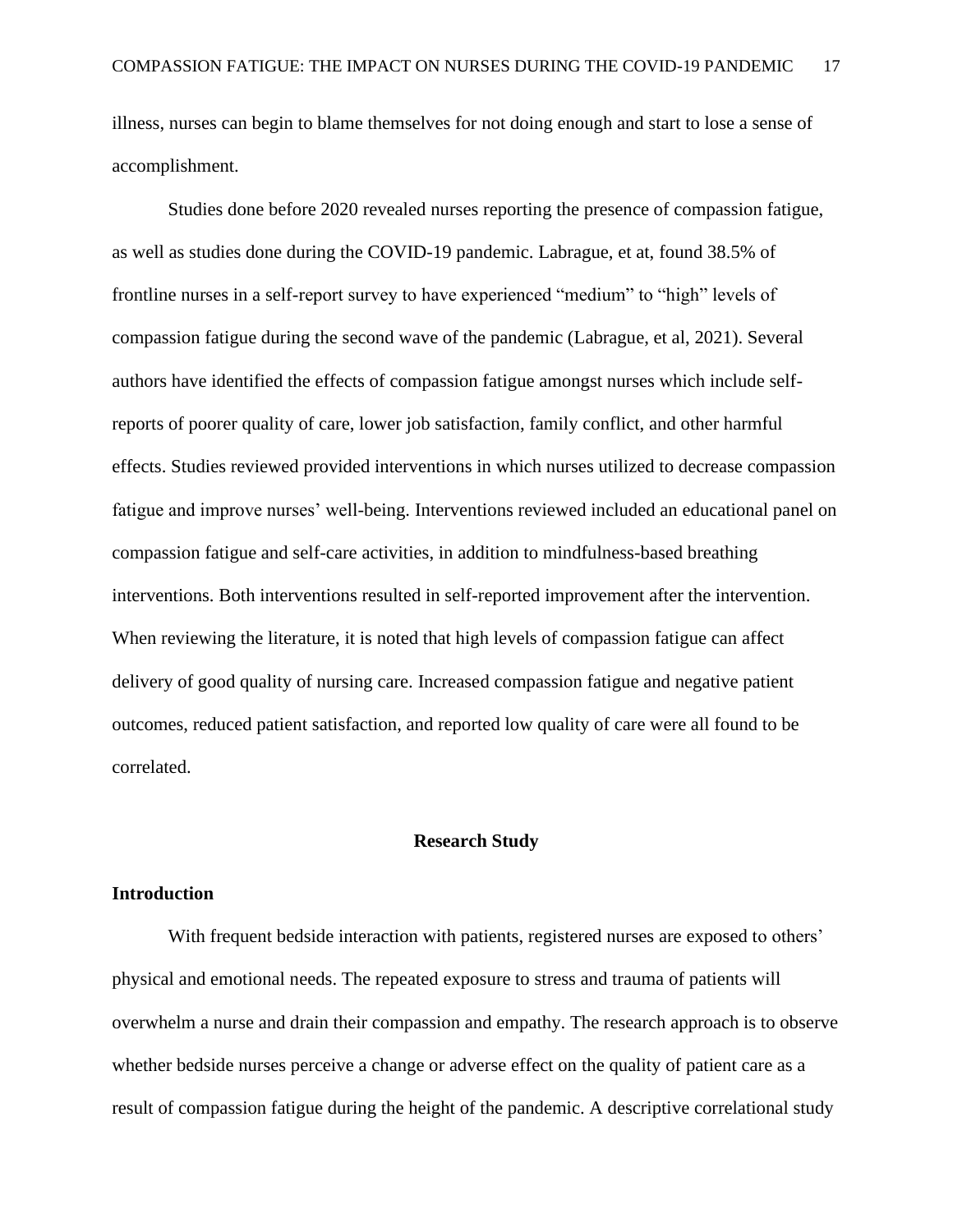illness, nurses can begin to blame themselves for not doing enough and start to lose a sense of accomplishment.

Studies done before 2020 revealed nurses reporting the presence of compassion fatigue, as well as studies done during the COVID-19 pandemic. Labrague, et at, found 38.5% of frontline nurses in a self-report survey to have experienced "medium" to "high" levels of compassion fatigue during the second wave of the pandemic (Labrague, et al, 2021). Several authors have identified the effects of compassion fatigue amongst nurses which include selfreports of poorer quality of care, lower job satisfaction, family conflict, and other harmful effects. Studies reviewed provided interventions in which nurses utilized to decrease compassion fatigue and improve nurses' well-being. Interventions reviewed included an educational panel on compassion fatigue and self-care activities, in addition to mindfulness-based breathing interventions. Both interventions resulted in self-reported improvement after the intervention. When reviewing the literature, it is noted that high levels of compassion fatigue can affect delivery of good quality of nursing care. Increased compassion fatigue and negative patient outcomes, reduced patient satisfaction, and reported low quality of care were all found to be correlated.

#### **Research Study**

### <span id="page-17-0"></span>**Introduction**

With frequent bedside interaction with patients, registered nurses are exposed to others' physical and emotional needs. The repeated exposure to stress and trauma of patients will overwhelm a nurse and drain their compassion and empathy. The research approach is to observe whether bedside nurses perceive a change or adverse effect on the quality of patient care as a result of compassion fatigue during the height of the pandemic. A descriptive correlational study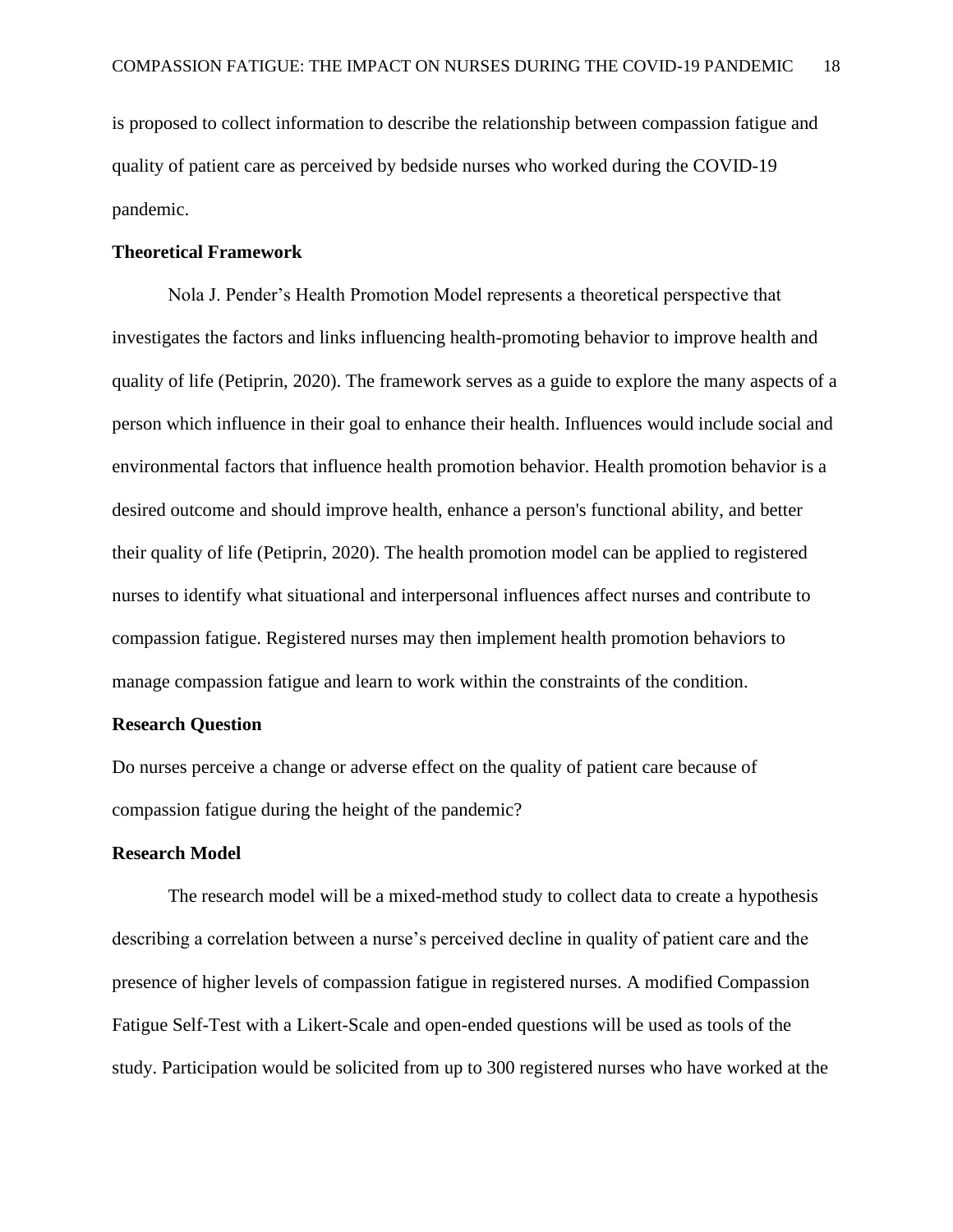is proposed to collect information to describe the relationship between compassion fatigue and quality of patient care as perceived by bedside nurses who worked during the COVID-19 pandemic.

#### **Theoretical Framework**

Nola J. Pender's Health Promotion Model represents a theoretical perspective that investigates the factors and links influencing health-promoting behavior to improve health and quality of life (Petiprin, 2020). The framework serves as a guide to explore the many aspects of a person which influence in their goal to enhance their health. Influences would include social and environmental factors that influence health promotion behavior. Health promotion behavior is a desired outcome and should improve health, enhance a person's functional ability, and better their quality of life (Petiprin, 2020). The health promotion model can be applied to registered nurses to identify what situational and interpersonal influences affect nurses and contribute to compassion fatigue. Registered nurses may then implement health promotion behaviors to manage compassion fatigue and learn to work within the constraints of the condition.

#### **Research Question**

Do nurses perceive a change or adverse effect on the quality of patient care because of compassion fatigue during the height of the pandemic?

#### **Research Model**

The research model will be a mixed-method study to collect data to create a hypothesis describing a correlation between a nurse's perceived decline in quality of patient care and the presence of higher levels of compassion fatigue in registered nurses. A modified Compassion Fatigue Self-Test with a Likert-Scale and open-ended questions will be used as tools of the study. Participation would be solicited from up to 300 registered nurses who have worked at the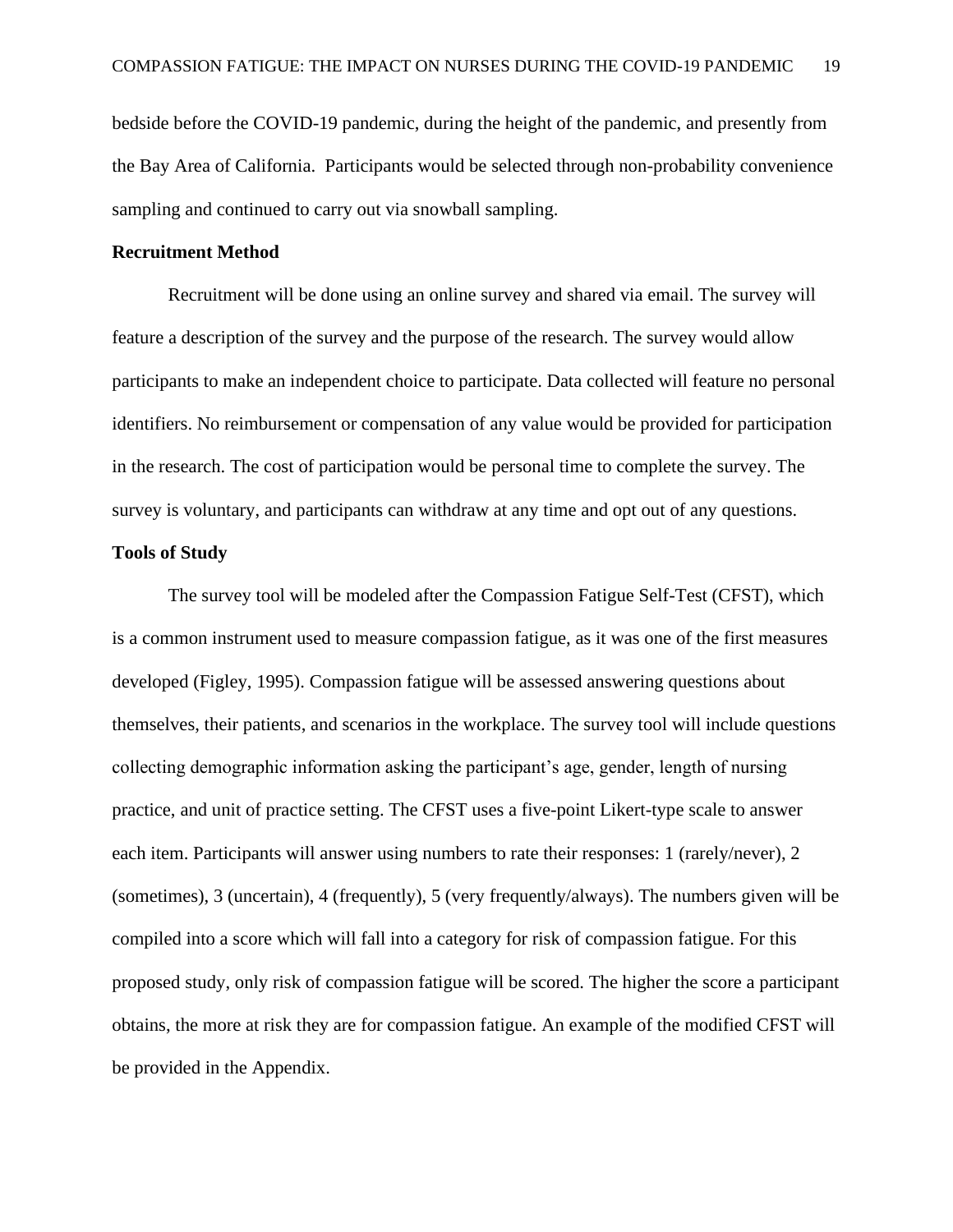bedside before the COVID-19 pandemic, during the height of the pandemic, and presently from the Bay Area of California. Participants would be selected through non-probability convenience sampling and continued to carry out via snowball sampling.

#### **Recruitment Method**

Recruitment will be done using an online survey and shared via email. The survey will feature a description of the survey and the purpose of the research. The survey would allow participants to make an independent choice to participate. Data collected will feature no personal identifiers. No reimbursement or compensation of any value would be provided for participation in the research. The cost of participation would be personal time to complete the survey. The survey is voluntary, and participants can withdraw at any time and opt out of any questions.

#### **Tools of Study**

The survey tool will be modeled after the Compassion Fatigue Self-Test (CFST), which is a common instrument used to measure compassion fatigue, as it was one of the first measures developed (Figley, 1995). Compassion fatigue will be assessed answering questions about themselves, their patients, and scenarios in the workplace. The survey tool will include questions collecting demographic information asking the participant's age, gender, length of nursing practice, and unit of practice setting. The CFST uses a five-point Likert-type scale to answer each item. Participants will answer using numbers to rate their responses: 1 (rarely/never), 2 (sometimes), 3 (uncertain), 4 (frequently), 5 (very frequently/always). The numbers given will be compiled into a score which will fall into a category for risk of compassion fatigue. For this proposed study, only risk of compassion fatigue will be scored. The higher the score a participant obtains, the more at risk they are for compassion fatigue. An example of the modified CFST will be provided in the Appendix.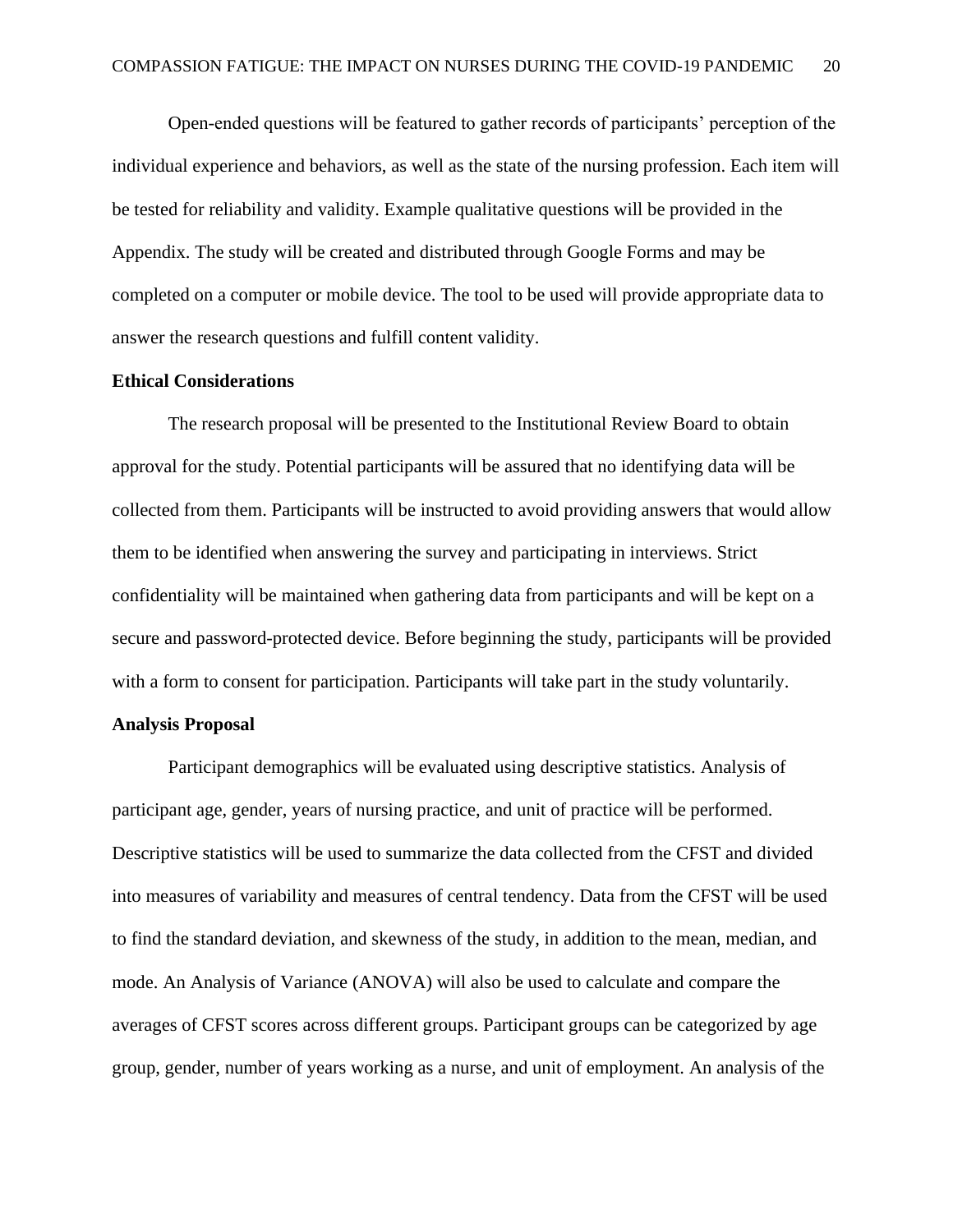Open-ended questions will be featured to gather records of participants' perception of the individual experience and behaviors, as well as the state of the nursing profession. Each item will be tested for reliability and validity. Example qualitative questions will be provided in the Appendix. The study will be created and distributed through Google Forms and may be completed on a computer or mobile device. The tool to be used will provide appropriate data to answer the research questions and fulfill content validity.

#### **Ethical Considerations**

The research proposal will be presented to the Institutional Review Board to obtain approval for the study. Potential participants will be assured that no identifying data will be collected from them. Participants will be instructed to avoid providing answers that would allow them to be identified when answering the survey and participating in interviews. Strict confidentiality will be maintained when gathering data from participants and will be kept on a secure and password-protected device. Before beginning the study, participants will be provided with a form to consent for participation. Participants will take part in the study voluntarily.

#### **Analysis Proposal**

Participant demographics will be evaluated using descriptive statistics. Analysis of participant age, gender, years of nursing practice, and unit of practice will be performed. Descriptive statistics will be used to summarize the data collected from the CFST and divided into measures of variability and measures of central tendency. Data from the CFST will be used to find the standard deviation, and skewness of the study, in addition to the mean, median, and mode. An Analysis of Variance (ANOVA) will also be used to calculate and compare the averages of CFST scores across different groups. Participant groups can be categorized by age group, gender, number of years working as a nurse, and unit of employment. An analysis of the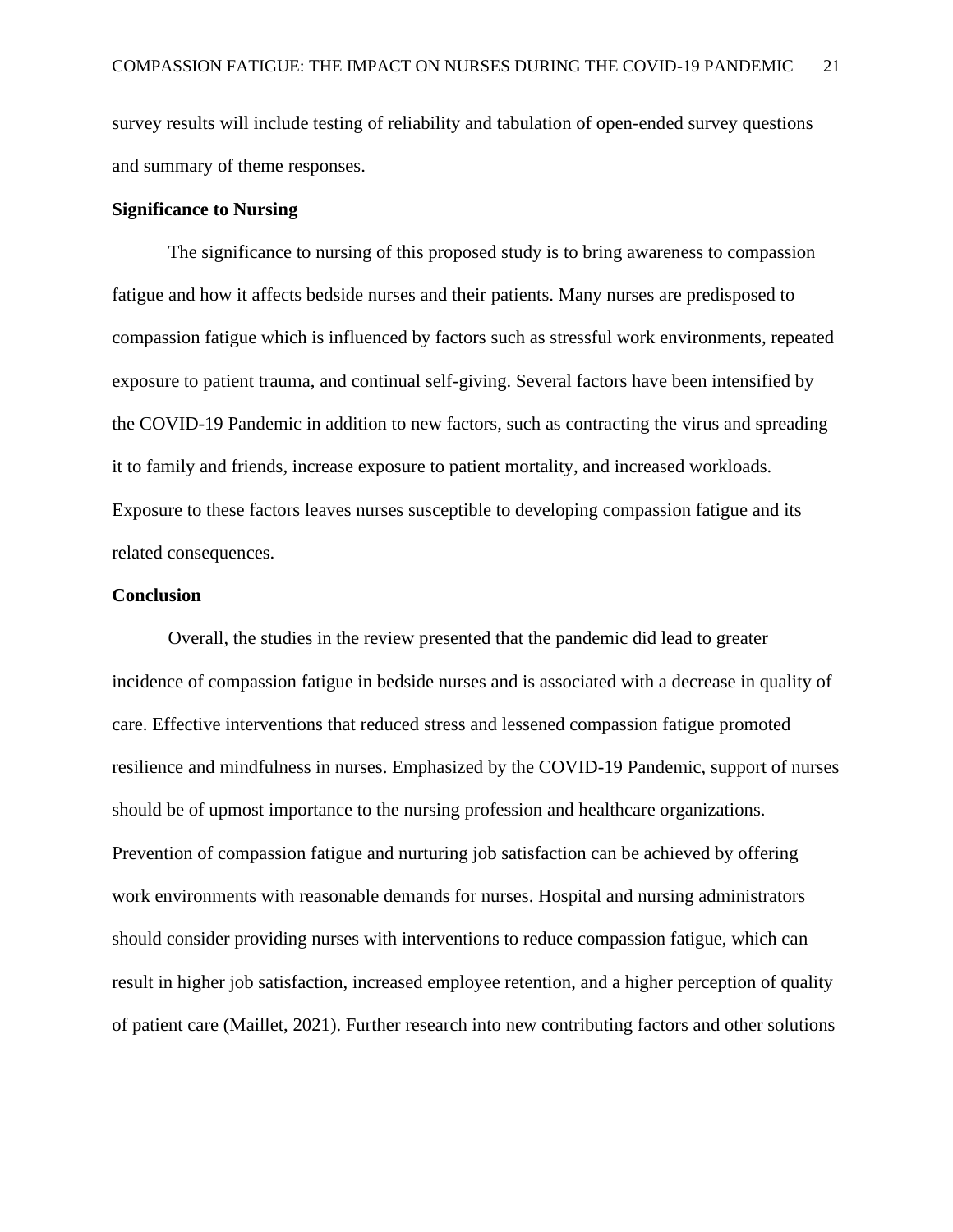survey results will include testing of reliability and tabulation of open-ended survey questions and summary of theme responses.

#### **Significance to Nursing**

The significance to nursing of this proposed study is to bring awareness to compassion fatigue and how it affects bedside nurses and their patients. Many nurses are predisposed to compassion fatigue which is influenced by factors such as stressful work environments, repeated exposure to patient trauma, and continual self-giving. Several factors have been intensified by the COVID-19 Pandemic in addition to new factors, such as contracting the virus and spreading it to family and friends, increase exposure to patient mortality, and increased workloads. Exposure to these factors leaves nurses susceptible to developing compassion fatigue and its related consequences.

#### **Conclusion**

Overall, the studies in the review presented that the pandemic did lead to greater incidence of compassion fatigue in bedside nurses and is associated with a decrease in quality of care. Effective interventions that reduced stress and lessened compassion fatigue promoted resilience and mindfulness in nurses. Emphasized by the COVID-19 Pandemic, support of nurses should be of upmost importance to the nursing profession and healthcare organizations. Prevention of compassion fatigue and nurturing job satisfaction can be achieved by offering work environments with reasonable demands for nurses. Hospital and nursing administrators should consider providing nurses with interventions to reduce compassion fatigue, which can result in higher job satisfaction, increased employee retention, and a higher perception of quality of patient care (Maillet, 2021). Further research into new contributing factors and other solutions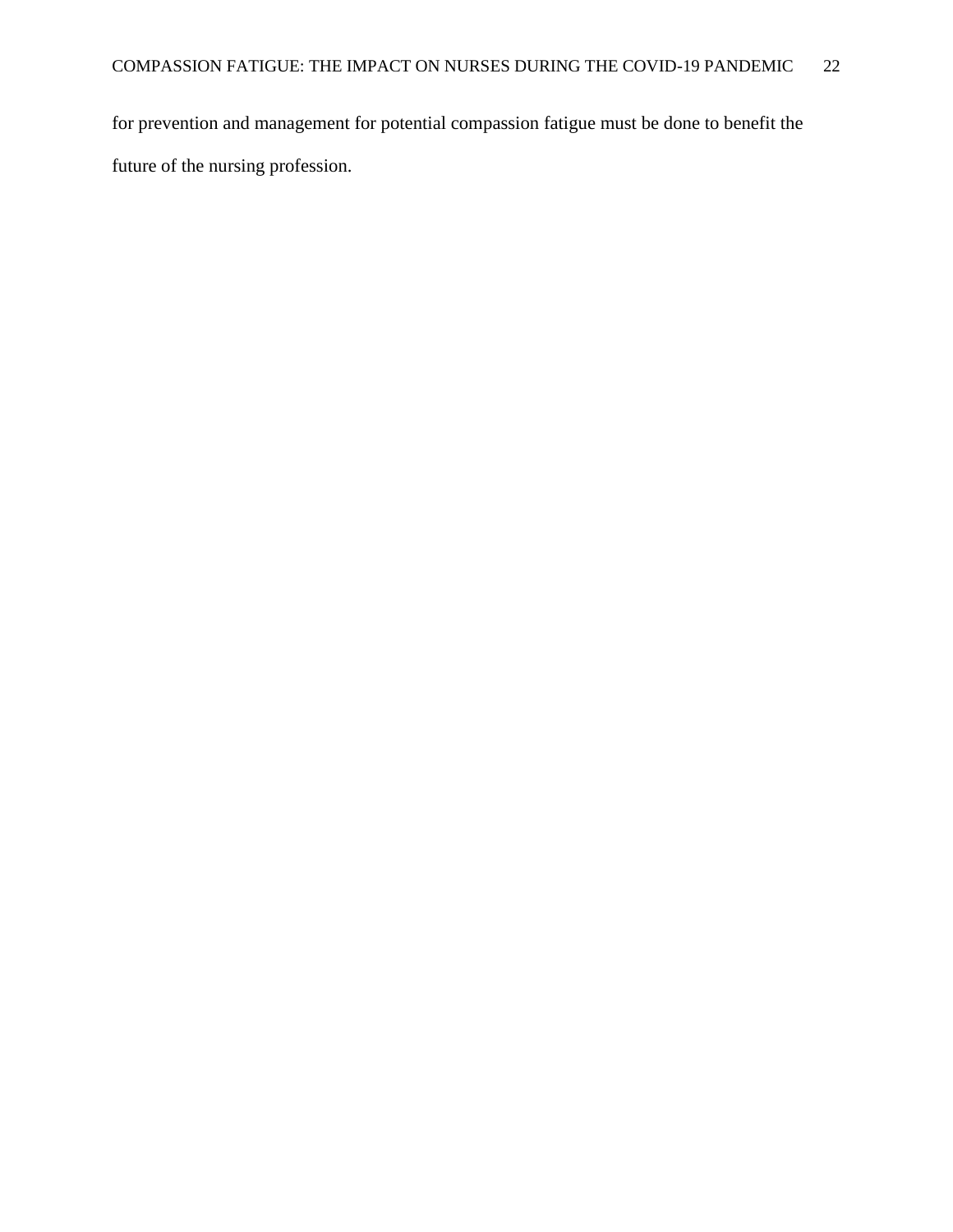for prevention and management for potential compassion fatigue must be done to benefit the future of the nursing profession.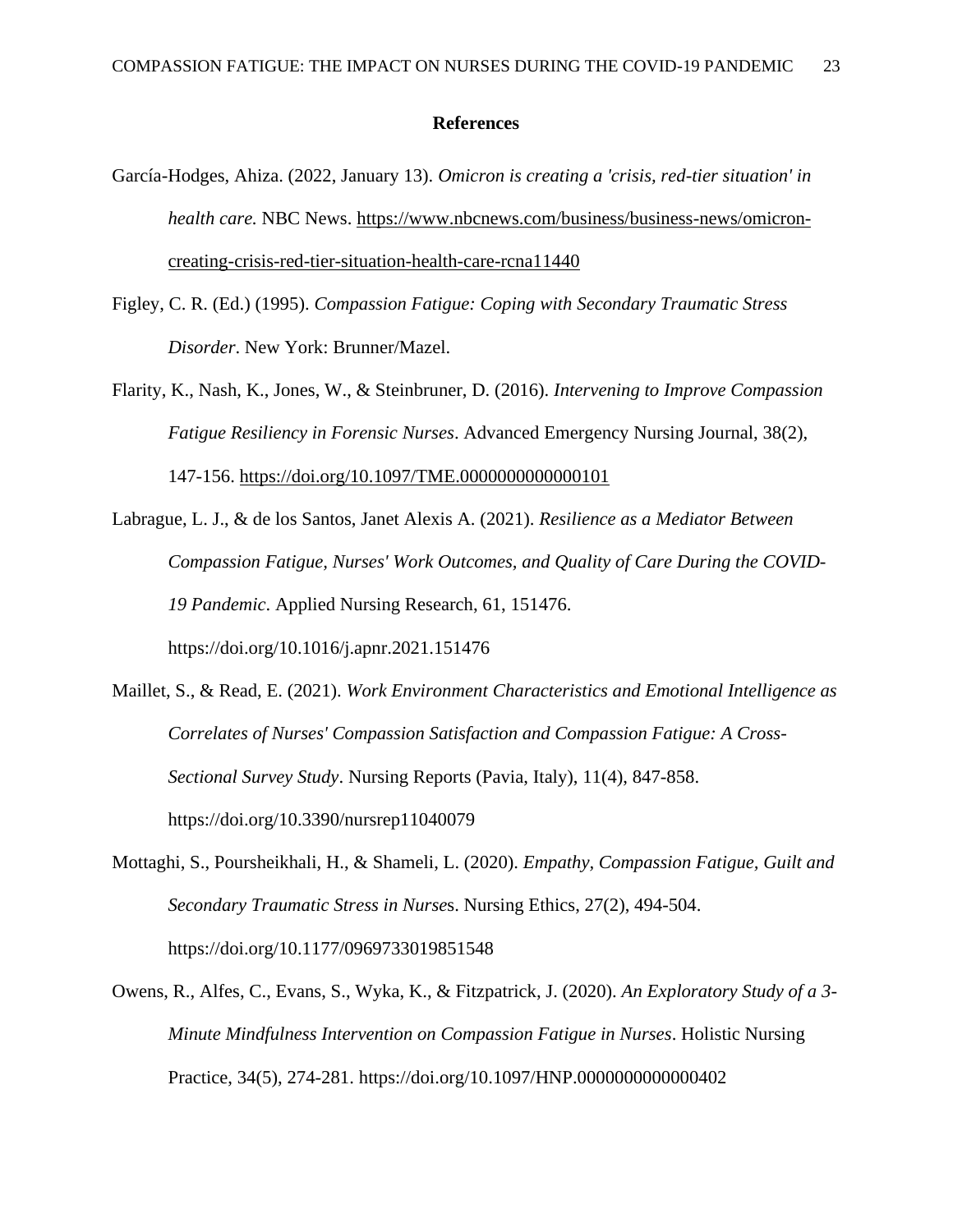#### **References**

- <span id="page-23-0"></span>García-Hodges, Ahiza. (2022, January 13). *Omicron is creating a 'crisis, red-tier situation' in health care.* NBC News. [https://www.nbcnews.com/business/business-news/omicron](https://www.nbcnews.com/business/business-news/omicron-creating-crisis-red-tier-situation-health-care-rcna11440)[creating-crisis-red-tier-situation-health-care-rcna11440](https://www.nbcnews.com/business/business-news/omicron-creating-crisis-red-tier-situation-health-care-rcna11440)
- Figley, C. R. (Ed.) (1995). *Compassion Fatigue: Coping with Secondary Traumatic Stress Disorder*. New York: Brunner/Mazel.
- Flarity, K., Nash, K., Jones, W., & Steinbruner, D. (2016). *Intervening to Improve Compassion Fatigue Resiliency in Forensic Nurses*. Advanced Emergency Nursing Journal, 38(2), 147-156.<https://doi.org/10.1097/TME.0000000000000101>
- Labrague, L. J., & de los Santos, Janet Alexis A. (2021). *Resilience as a Mediator Between Compassion Fatigue, Nurses' Work Outcomes, and Quality of Care During the COVID-19 Pandemic*. Applied Nursing Research, 61, 151476. https://doi.org/10.1016/j.apnr.2021.151476
- Maillet, S., & Read, E. (2021). *Work Environment Characteristics and Emotional Intelligence as Correlates of Nurses' Compassion Satisfaction and Compassion Fatigue: A Cross-Sectional Survey Study*. Nursing Reports (Pavia, Italy), 11(4), 847-858. https://doi.org/10.3390/nursrep11040079
- Mottaghi, S., Poursheikhali, H., & Shameli, L. (2020). *Empathy, Compassion Fatigue, Guilt and Secondary Traumatic Stress in Nurse*s. Nursing Ethics, 27(2), 494-504. https://doi.org/10.1177/0969733019851548
- Owens, R., Alfes, C., Evans, S., Wyka, K., & Fitzpatrick, J. (2020). *An Exploratory Study of a 3- Minute Mindfulness Intervention on Compassion Fatigue in Nurses*. Holistic Nursing Practice, 34(5), 274-281. https://doi.org/10.1097/HNP.0000000000000402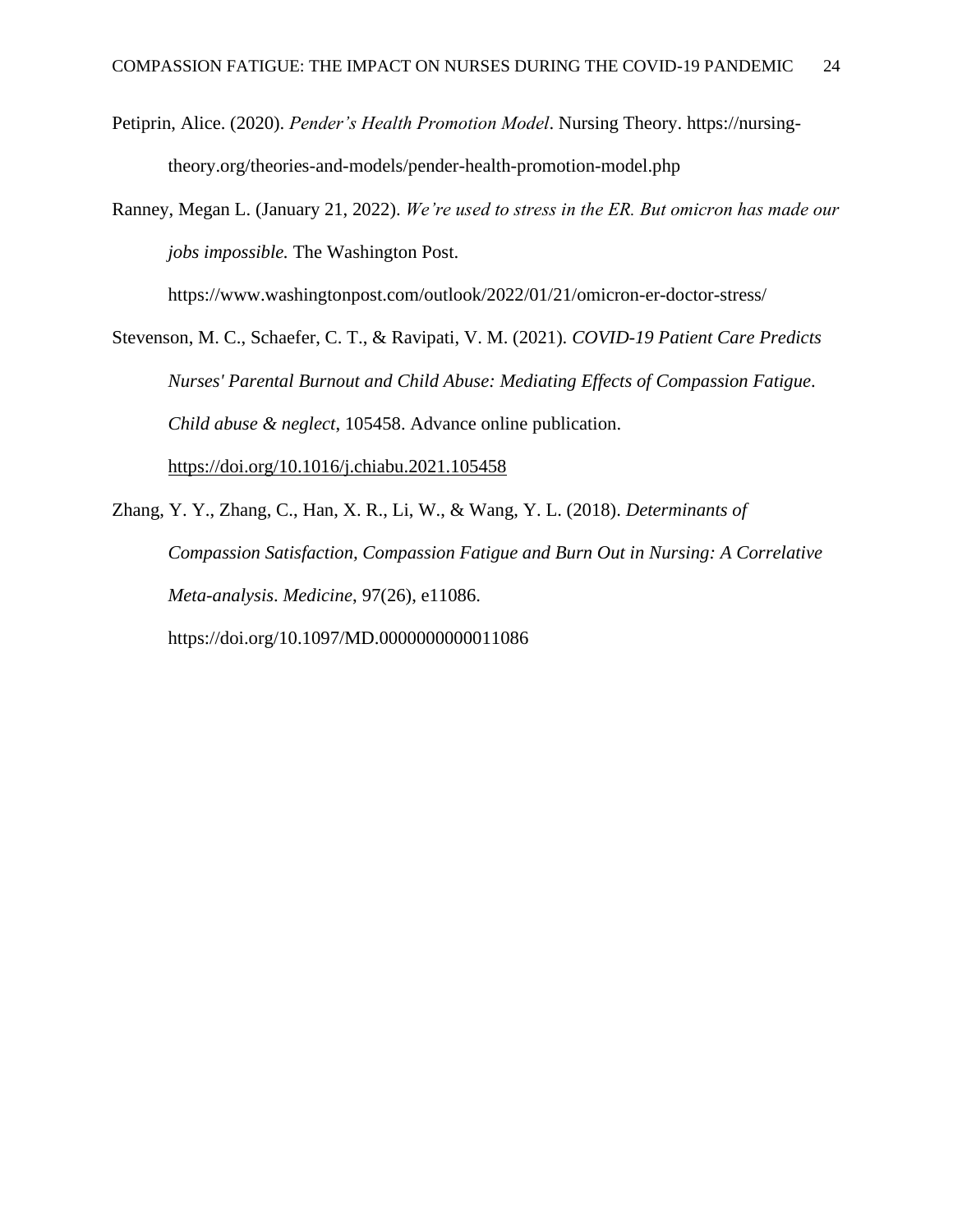Petiprin, Alice. (2020). *Pender's Health Promotion Model*. Nursing Theory. https://nursingtheory.org/theories-and-models/pender-health-promotion-model.php

Ranney, Megan L. (January 21, 2022). *We're used to stress in the ER. But omicron has made our jobs impossible.* The Washington Post.

https://www.washingtonpost.com/outlook/2022/01/21/omicron-er-doctor-stress/

Stevenson, M. C., Schaefer, C. T., & Ravipati, V. M. (2021). *COVID-19 Patient Care Predicts Nurses' Parental Burnout and Child Abuse: Mediating Effects of Compassion Fatigue*. *Child abuse & neglect*, 105458. Advance online publication. <https://doi.org/10.1016/j.chiabu.2021.105458>

Zhang, Y. Y., Zhang, C., Han, X. R., Li, W., & Wang, Y. L. (2018). *Determinants of Compassion Satisfaction, Compassion Fatigue and Burn Out in Nursing: A Correlative Meta-analysis*. *Medicine*, 97(26), e11086. https://doi.org/10.1097/MD.0000000000011086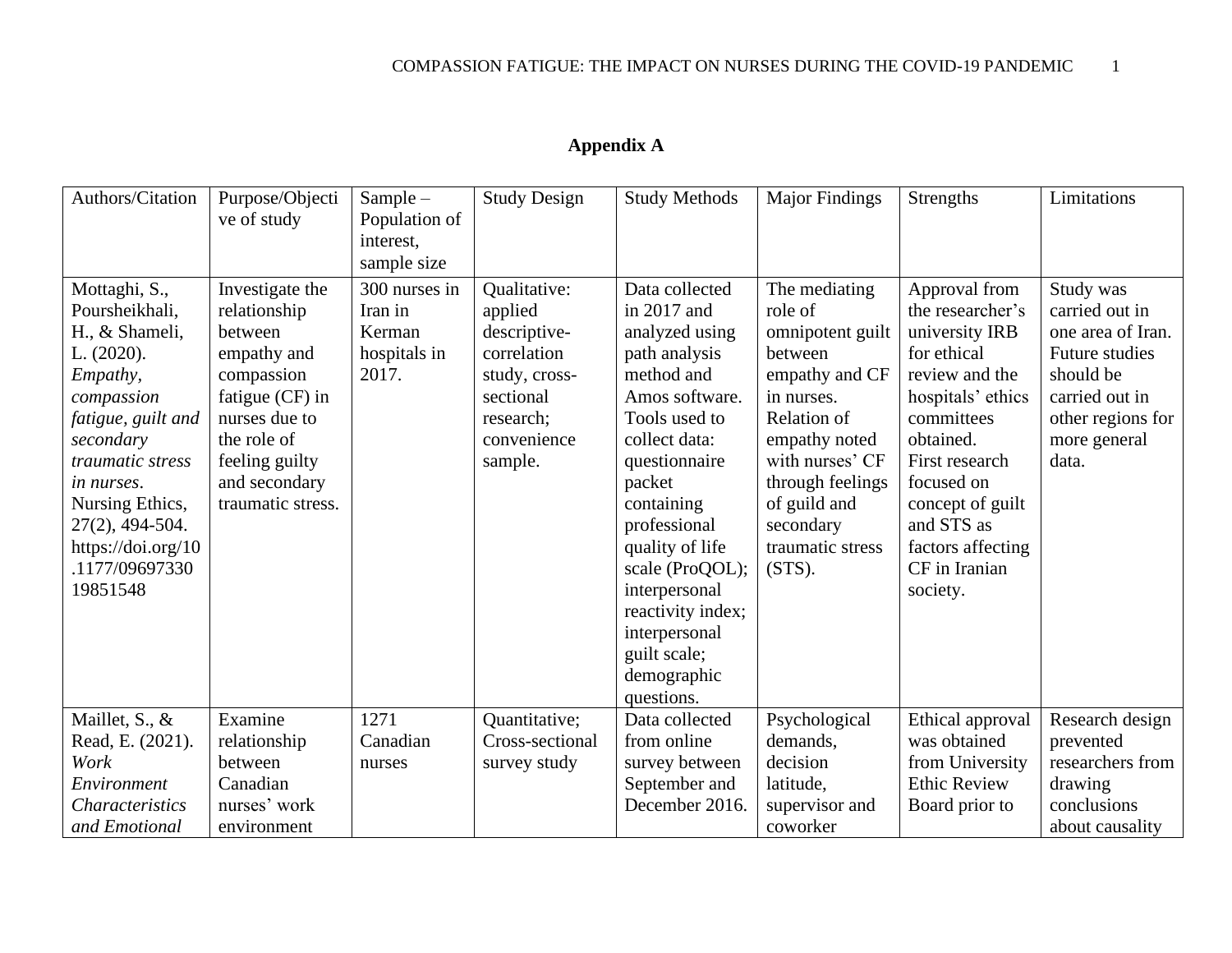<span id="page-25-0"></span>

| Authors/Citation                                                                                                                                                                                                                                            | Purpose/Objecti<br>ve of study                                                                                                                                                     | $Sample-$<br>Population of<br>interest,<br>sample size      | <b>Study Design</b>                                                                                                         | <b>Study Methods</b>                                                                                                                                                                                                                                                                                                                  | <b>Major Findings</b>                                                                                                                                                                                                        | <b>Strengths</b>                                                                                                                                                                                                                                         | Limitations                                                                                                                                            |
|-------------------------------------------------------------------------------------------------------------------------------------------------------------------------------------------------------------------------------------------------------------|------------------------------------------------------------------------------------------------------------------------------------------------------------------------------------|-------------------------------------------------------------|-----------------------------------------------------------------------------------------------------------------------------|---------------------------------------------------------------------------------------------------------------------------------------------------------------------------------------------------------------------------------------------------------------------------------------------------------------------------------------|------------------------------------------------------------------------------------------------------------------------------------------------------------------------------------------------------------------------------|----------------------------------------------------------------------------------------------------------------------------------------------------------------------------------------------------------------------------------------------------------|--------------------------------------------------------------------------------------------------------------------------------------------------------|
| Mottaghi, S.,<br>Poursheikhali,<br>H., & Shameli,<br>L. (2020).<br>Empathy,<br>compassion<br>fatigue, guilt and<br>secondary<br>traumatic stress<br>in nurses.<br>Nursing Ethics,<br>$27(2)$ , 494-504.<br>https://doi.org/10<br>.1177/09697330<br>19851548 | Investigate the<br>relationship<br>between<br>empathy and<br>compassion<br>fatigue (CF) in<br>nurses due to<br>the role of<br>feeling guilty<br>and secondary<br>traumatic stress. | 300 nurses in<br>Iran in<br>Kerman<br>hospitals in<br>2017. | Qualitative:<br>applied<br>descriptive-<br>correlation<br>study, cross-<br>sectional<br>research;<br>convenience<br>sample. | Data collected<br>in 2017 and<br>analyzed using<br>path analysis<br>method and<br>Amos software.<br>Tools used to<br>collect data:<br>questionnaire<br>packet<br>containing<br>professional<br>quality of life<br>scale (ProQOL);<br>interpersonal<br>reactivity index;<br>interpersonal<br>guilt scale;<br>demographic<br>questions. | The mediating<br>role of<br>omnipotent guilt<br>between<br>empathy and CF<br>in nurses.<br>Relation of<br>empathy noted<br>with nurses' CF<br>through feelings<br>of guild and<br>secondary<br>traumatic stress<br>$(STS)$ . | Approval from<br>the researcher's<br>university IRB<br>for ethical<br>review and the<br>hospitals' ethics<br>committees<br>obtained.<br>First research<br>focused on<br>concept of guilt<br>and STS as<br>factors affecting<br>CF in Iranian<br>society. | Study was<br>carried out in<br>one area of Iran.<br><b>Future studies</b><br>should be<br>carried out in<br>other regions for<br>more general<br>data. |
| Maillet, S., &<br>Read, E. (2021).<br>Work<br>Environment<br><b>Characteristics</b><br>and Emotional                                                                                                                                                        | Examine<br>relationship<br>between<br>Canadian<br>nurses' work<br>environment                                                                                                      | 1271<br>Canadian<br>nurses                                  | Quantitative;<br>Cross-sectional<br>survey study                                                                            | Data collected<br>from online<br>survey between<br>September and<br>December 2016.                                                                                                                                                                                                                                                    | Psychological<br>demands,<br>decision<br>latitude,<br>supervisor and<br>coworker                                                                                                                                             | Ethical approval<br>was obtained<br>from University<br><b>Ethic Review</b><br>Board prior to                                                                                                                                                             | Research design<br>prevented<br>researchers from<br>drawing<br>conclusions<br>about causality                                                          |

## **Appendix A**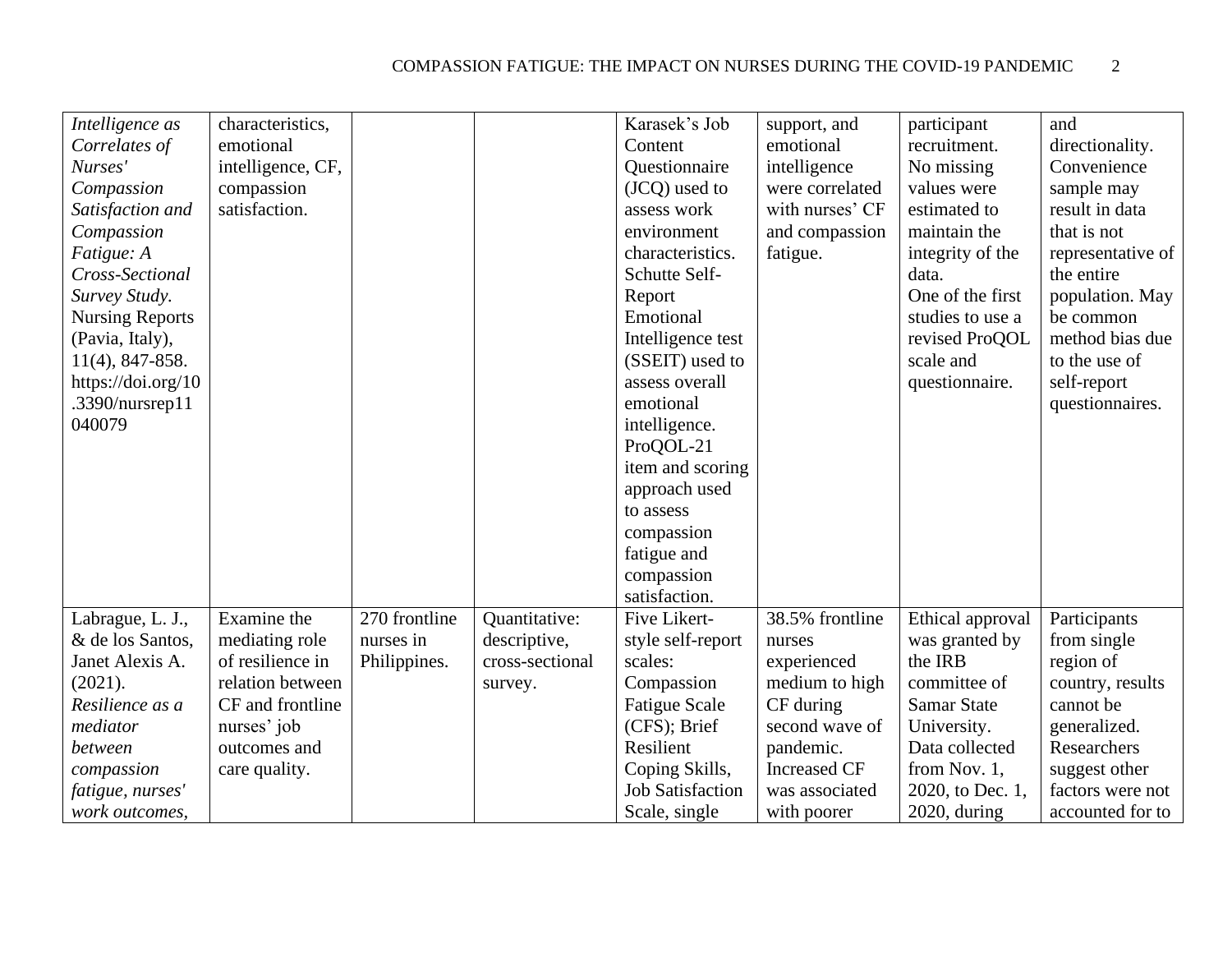| Intelligence as        | characteristics,  |               |                 | Karasek's Job           | support, and        | participant        | and               |
|------------------------|-------------------|---------------|-----------------|-------------------------|---------------------|--------------------|-------------------|
| Correlates of          | emotional         |               |                 | Content                 | emotional           | recruitment.       | directionality.   |
| Nurses'                | intelligence, CF, |               |                 | Questionnaire           | intelligence        | No missing         | Convenience       |
| Compassion             | compassion        |               |                 | (JCQ) used to           | were correlated     | values were        | sample may        |
| Satisfaction and       | satisfaction.     |               |                 | assess work             | with nurses' CF     | estimated to       | result in data    |
| Compassion             |                   |               |                 | environment             | and compassion      | maintain the       | that is not       |
| Fatigue: A             |                   |               |                 | characteristics.        | fatigue.            | integrity of the   | representative of |
| Cross-Sectional        |                   |               |                 | Schutte Self-           |                     | data.              | the entire        |
| Survey Study.          |                   |               |                 | Report                  |                     | One of the first   | population. May   |
| <b>Nursing Reports</b> |                   |               |                 | Emotional               |                     | studies to use a   | be common         |
| (Pavia, Italy),        |                   |               |                 | Intelligence test       |                     | revised ProQOL     | method bias due   |
| $11(4)$ , 847-858.     |                   |               |                 | (SSEIT) used to         |                     | scale and          | to the use of     |
| https://doi.org/10     |                   |               |                 | assess overall          |                     | questionnaire.     | self-report       |
| .3390/nursrep11        |                   |               |                 | emotional               |                     |                    |                   |
| 040079                 |                   |               |                 | intelligence.           |                     |                    | questionnaires.   |
|                        |                   |               |                 | ProQOL-21               |                     |                    |                   |
|                        |                   |               |                 | item and scoring        |                     |                    |                   |
|                        |                   |               |                 |                         |                     |                    |                   |
|                        |                   |               |                 | approach used           |                     |                    |                   |
|                        |                   |               |                 | to assess               |                     |                    |                   |
|                        |                   |               |                 | compassion              |                     |                    |                   |
|                        |                   |               |                 | fatigue and             |                     |                    |                   |
|                        |                   |               |                 | compassion              |                     |                    |                   |
|                        |                   |               |                 | satisfaction.           |                     |                    |                   |
| Labrague, L. J.,       | Examine the       | 270 frontline | Quantitative:   | Five Likert-            | 38.5% frontline     | Ethical approval   | Participants      |
| & de los Santos,       | mediating role    | nurses in     | descriptive,    | style self-report       | nurses              | was granted by     | from single       |
| Janet Alexis A.        | of resilience in  | Philippines.  | cross-sectional | scales:                 | experienced         | the IRB            | region of         |
| (2021).                | relation between  |               | survey.         | Compassion              | medium to high      | committee of       | country, results  |
| Resilience as a        | CF and frontline  |               |                 | <b>Fatigue Scale</b>    | CF during           | <b>Samar State</b> | cannot be         |
| mediator               | nurses' job       |               |                 | (CFS); Brief            | second wave of      | University.        | generalized.      |
| between                | outcomes and      |               |                 | Resilient               | pandemic.           | Data collected     | Researchers       |
| compassion             | care quality.     |               |                 | Coping Skills,          | <b>Increased CF</b> | from Nov. 1,       | suggest other     |
| fatigue, nurses'       |                   |               |                 | <b>Job Satisfaction</b> | was associated      | 2020, to Dec. 1,   | factors were not  |
| work outcomes,         |                   |               |                 | Scale, single           | with poorer         | $2020$ , during    | accounted for to  |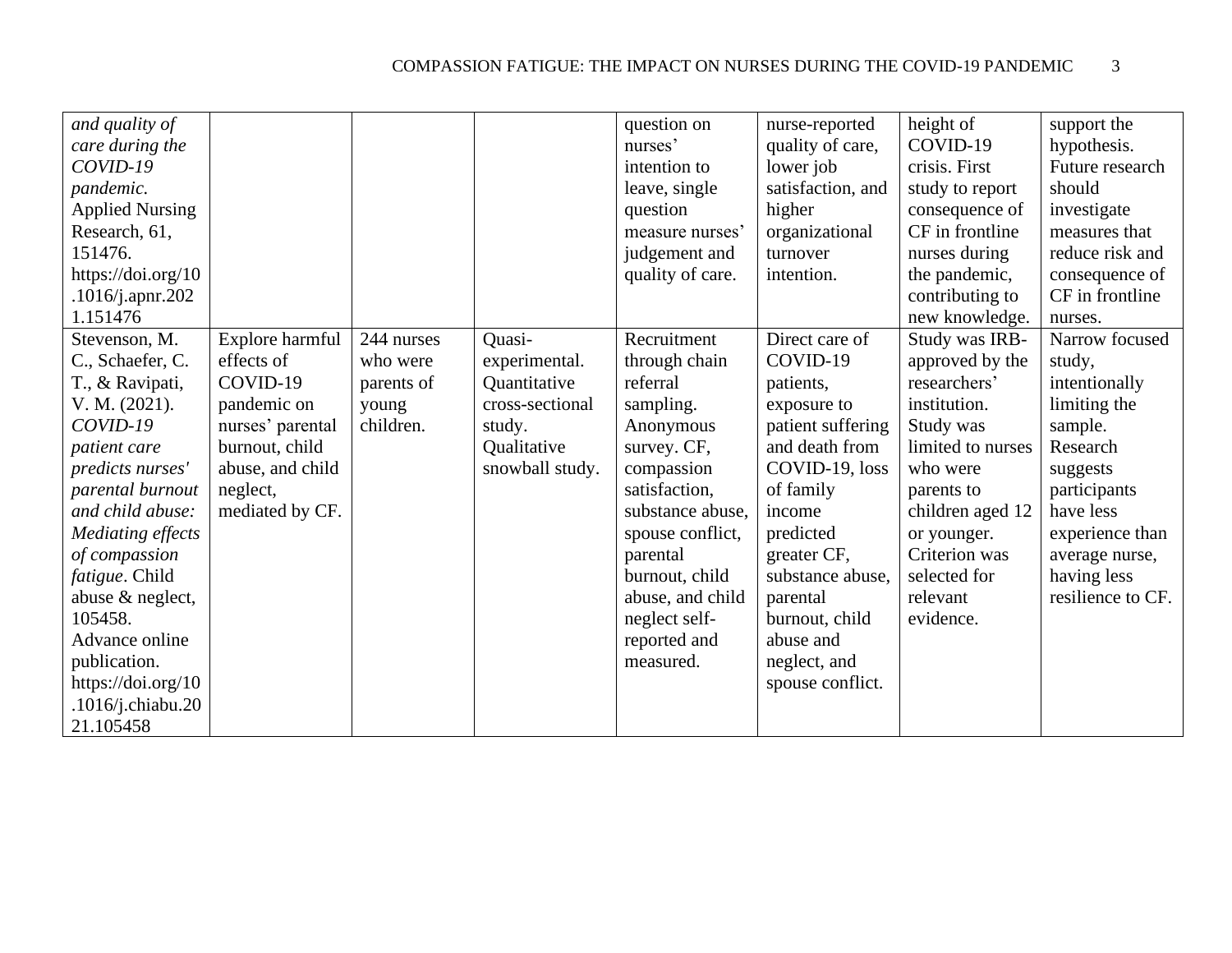| and quality of         |                  |            |                 | question on      | nurse-reported    | height of         | support the       |
|------------------------|------------------|------------|-----------------|------------------|-------------------|-------------------|-------------------|
| care during the        |                  |            |                 | nurses'          | quality of care,  | COVID-19          | hypothesis.       |
| COVID-19               |                  |            |                 | intention to     | lower job         | crisis. First     | Future research   |
| pandemic.              |                  |            |                 | leave, single    | satisfaction, and | study to report   | should            |
| <b>Applied Nursing</b> |                  |            |                 | question         | higher            | consequence of    | investigate       |
| Research, 61,          |                  |            |                 | measure nurses'  | organizational    | CF in frontline   | measures that     |
| 151476.                |                  |            |                 | judgement and    | turnover          | nurses during     | reduce risk and   |
| https://doi.org/10     |                  |            |                 | quality of care. | intention.        | the pandemic,     | consequence of    |
| .1016/j.apnr.202       |                  |            |                 |                  |                   | contributing to   | CF in frontline   |
| 1.151476               |                  |            |                 |                  |                   | new knowledge.    | nurses.           |
| Stevenson, M.          | Explore harmful  | 244 nurses | Quasi-          | Recruitment      | Direct care of    | Study was IRB-    | Narrow focused    |
| C., Schaefer, C.       | effects of       | who were   | experimental.   | through chain    | COVID-19          | approved by the   | study,            |
| T., & Ravipati,        | COVID-19         | parents of | Quantitative    | referral         | patients,         | researchers'      | intentionally     |
| V. M. (2021).          | pandemic on      | young      | cross-sectional | sampling.        | exposure to       | institution.      | limiting the      |
| COVID-19               | nurses' parental | children.  | study.          | Anonymous        | patient suffering | Study was         | sample.           |
| patient care           | burnout, child   |            | Qualitative     | survey. CF,      | and death from    | limited to nurses | Research          |
| predicts nurses'       | abuse, and child |            | snowball study. | compassion       | COVID-19, loss    | who were          | suggests          |
| parental burnout       | neglect,         |            |                 | satisfaction,    | of family         | parents to        | participants      |
| and child abuse:       | mediated by CF.  |            |                 | substance abuse, | income            | children aged 12  | have less         |
| Mediating effects      |                  |            |                 | spouse conflict, | predicted         | or younger.       | experience than   |
| of compassion          |                  |            |                 | parental         | greater CF,       | Criterion was     | average nurse,    |
| fatigue. Child         |                  |            |                 | burnout, child   | substance abuse,  | selected for      | having less       |
| abuse & neglect,       |                  |            |                 | abuse, and child | parental          | relevant          | resilience to CF. |
| 105458.                |                  |            |                 | neglect self-    | burnout, child    | evidence.         |                   |
| Advance online         |                  |            |                 | reported and     | abuse and         |                   |                   |
| publication.           |                  |            |                 | measured.        | neglect, and      |                   |                   |
| https://doi.org/ $10$  |                  |            |                 |                  | spouse conflict.  |                   |                   |
| $.1016$ /j.chiabu.20   |                  |            |                 |                  |                   |                   |                   |
| 21.105458              |                  |            |                 |                  |                   |                   |                   |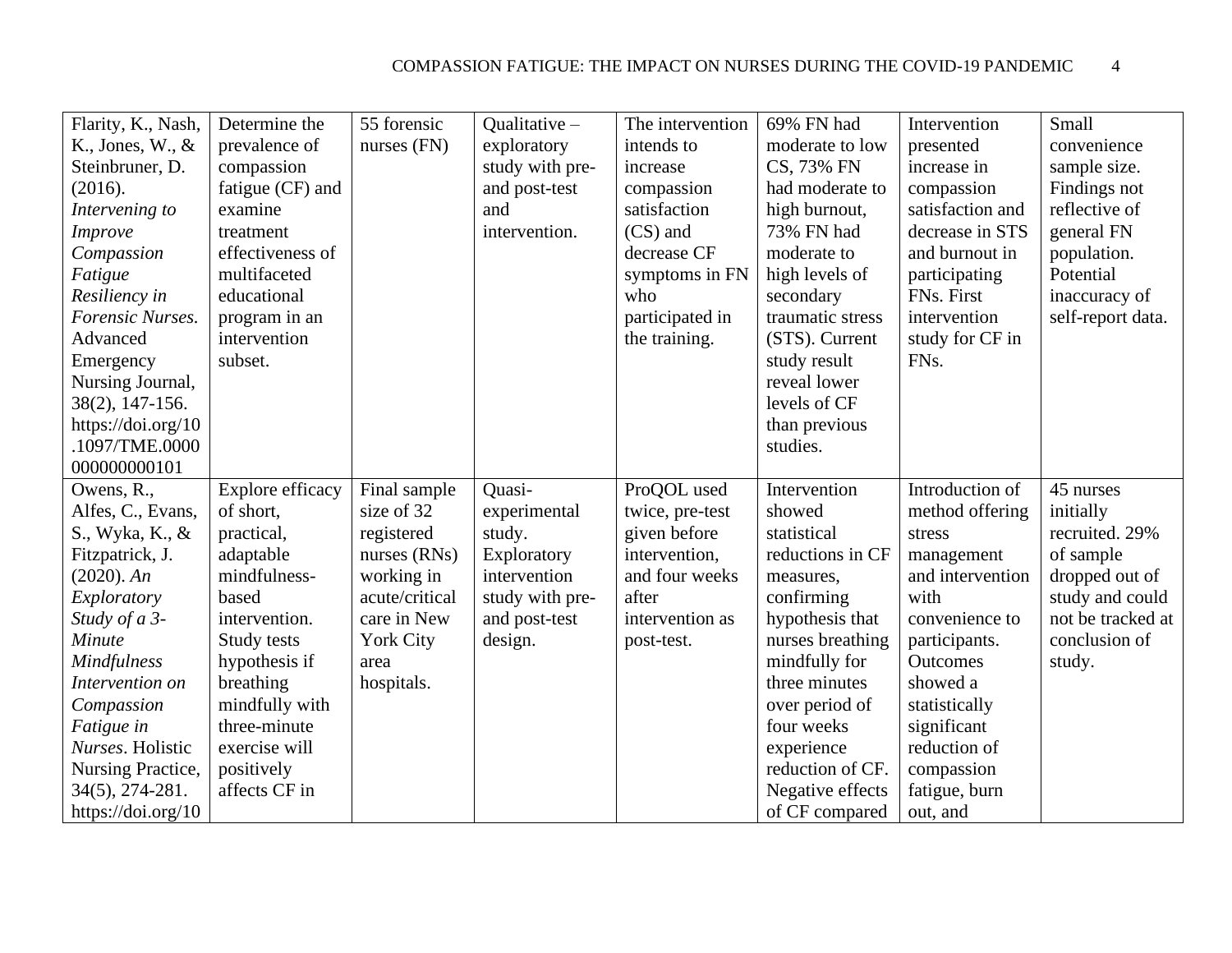| Flarity, K., Nash,<br>K., Jones, $W, \&$<br>Steinbruner, D.<br>(2016).<br>Intervening to<br><b>Improve</b><br>Compassion<br>Fatigue<br>Resiliency in<br><b>Forensic Nurses.</b><br>Advanced<br>Emergency<br>Nursing Journal,<br>38(2), 147-156. | Determine the<br>prevalence of<br>compassion<br>fatigue (CF) and<br>examine<br>treatment<br>effectiveness of<br>multifaceted<br>educational<br>program in an<br>intervention<br>subset. | 55 forensic<br>nurses $(FN)$                                                                                                          | Qualitative $-$<br>exploratory<br>study with pre-<br>and post-test<br>and<br>intervention.                     | The intervention<br>intends to<br>increase<br>compassion<br>satisfaction<br>(CS) and<br>decrease CF<br>symptoms in FN<br>who<br>participated in<br>the training. | 69% FN had<br>moderate to low<br>CS, 73% FN<br>had moderate to<br>high burnout,<br>73% FN had<br>moderate to<br>high levels of<br>secondary<br>traumatic stress<br>(STS). Current<br>study result<br>reveal lower<br>levels of CF | Intervention<br>presented<br>increase in<br>compassion<br>satisfaction and<br>decrease in STS<br>and burnout in<br>participating<br>FNs. First<br>intervention<br>study for CF in<br>FN <sub>s</sub> . | Small<br>convenience<br>sample size.<br>Findings not<br>reflective of<br>general FN<br>population.<br>Potential<br>inaccuracy of<br>self-report data. |
|-------------------------------------------------------------------------------------------------------------------------------------------------------------------------------------------------------------------------------------------------|-----------------------------------------------------------------------------------------------------------------------------------------------------------------------------------------|---------------------------------------------------------------------------------------------------------------------------------------|----------------------------------------------------------------------------------------------------------------|------------------------------------------------------------------------------------------------------------------------------------------------------------------|-----------------------------------------------------------------------------------------------------------------------------------------------------------------------------------------------------------------------------------|--------------------------------------------------------------------------------------------------------------------------------------------------------------------------------------------------------|-------------------------------------------------------------------------------------------------------------------------------------------------------|
| https://doi.org/10<br>.1097/TME.0000<br>000000000101                                                                                                                                                                                            |                                                                                                                                                                                         |                                                                                                                                       |                                                                                                                |                                                                                                                                                                  | than previous<br>studies.                                                                                                                                                                                                         |                                                                                                                                                                                                        |                                                                                                                                                       |
| Owens, R.,<br>Alfes, C., Evans,<br>S., Wyka, K., &<br>Fitzpatrick, J.<br>$(2020)$ . An<br>Exploratory<br>Study of a 3-<br>Minute<br><b>Mindfulness</b><br>Intervention on                                                                       | Explore efficacy<br>of short,<br>practical,<br>adaptable<br>mindfulness-<br>based<br>intervention.<br>Study tests<br>hypothesis if<br>breathing                                         | Final sample<br>size of 32<br>registered<br>nurses $(RNs)$<br>working in<br>acute/critical<br>care in New<br><b>York City</b><br>area | Quasi-<br>experimental<br>study.<br>Exploratory<br>intervention<br>study with pre-<br>and post-test<br>design. | ProQOL used<br>twice, pre-test<br>given before<br>intervention,<br>and four weeks<br>after<br>intervention as<br>post-test.                                      | Intervention<br>showed<br>statistical<br>reductions in CF<br>measures,<br>confirming<br>hypothesis that<br>nurses breathing<br>mindfully for<br>three minutes                                                                     | Introduction of<br>method offering<br>stress<br>management<br>and intervention<br>with<br>convenience to<br>participants.<br>Outcomes<br>showed a                                                      | 45 nurses<br>initially<br>recruited. 29%<br>of sample<br>dropped out of<br>study and could<br>not be tracked at<br>conclusion of<br>study.            |
| Compassion<br>Fatigue in<br>Nurses. Holistic<br><b>Nursing Practice,</b><br>34(5), 274-281.<br>https://doi.org/10                                                                                                                               | mindfully with<br>three-minute<br>exercise will<br>positively<br>affects CF in                                                                                                          | hospitals.                                                                                                                            |                                                                                                                |                                                                                                                                                                  | over period of<br>four weeks<br>experience<br>reduction of CF.<br>Negative effects<br>of CF compared                                                                                                                              | statistically<br>significant<br>reduction of<br>compassion<br>fatigue, burn<br>out, and                                                                                                                |                                                                                                                                                       |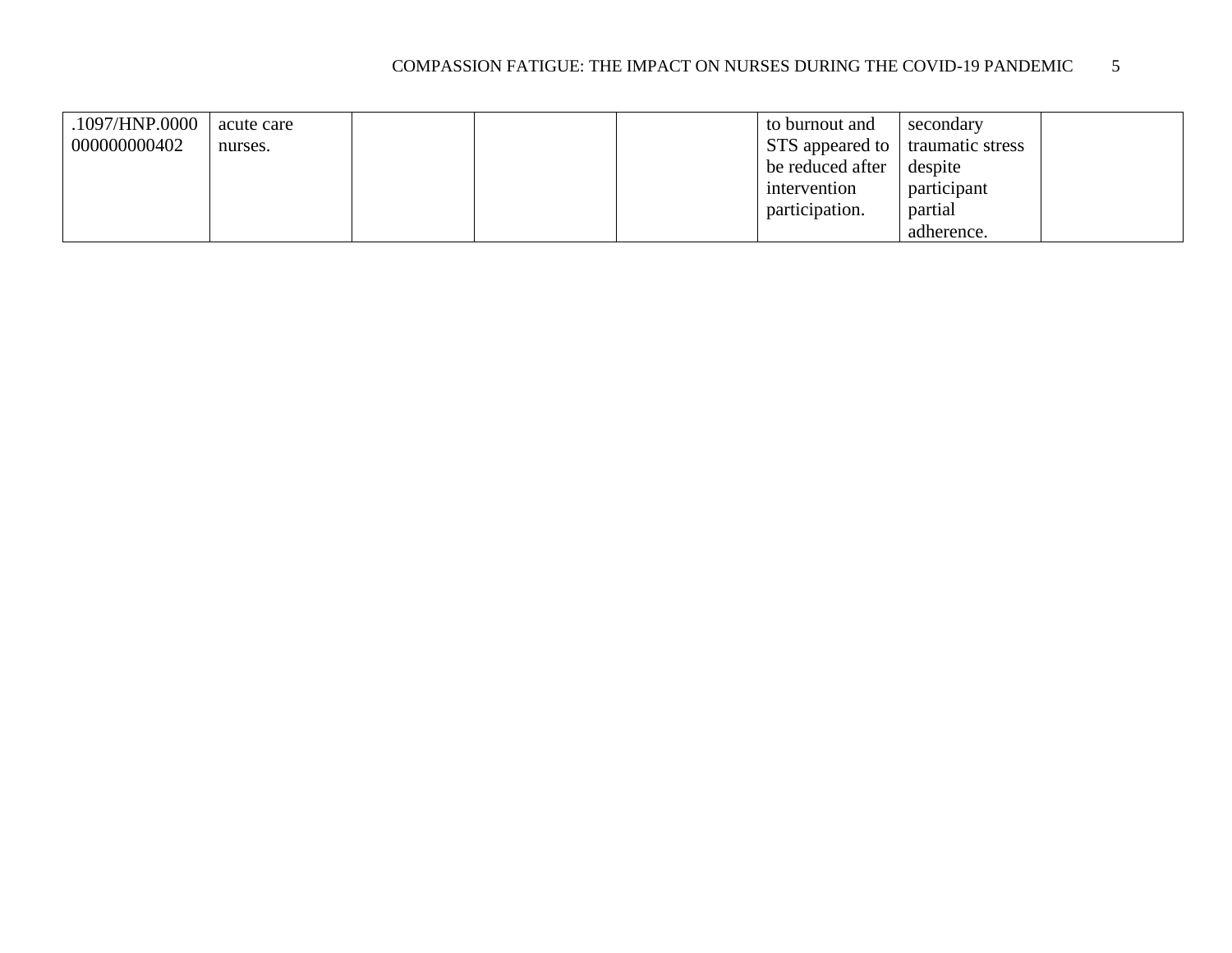| .1097/HNP.0000 | acute care |  | to burnout and                  | secondary        |  |
|----------------|------------|--|---------------------------------|------------------|--|
| 000000000402   | nurses.    |  | $\vert$ STS appeared to $\vert$ | traumatic stress |  |
|                |            |  | be reduced after                | despite          |  |
|                |            |  | intervention                    | participant      |  |
|                |            |  | participation.                  | partial          |  |
|                |            |  |                                 | adherence.       |  |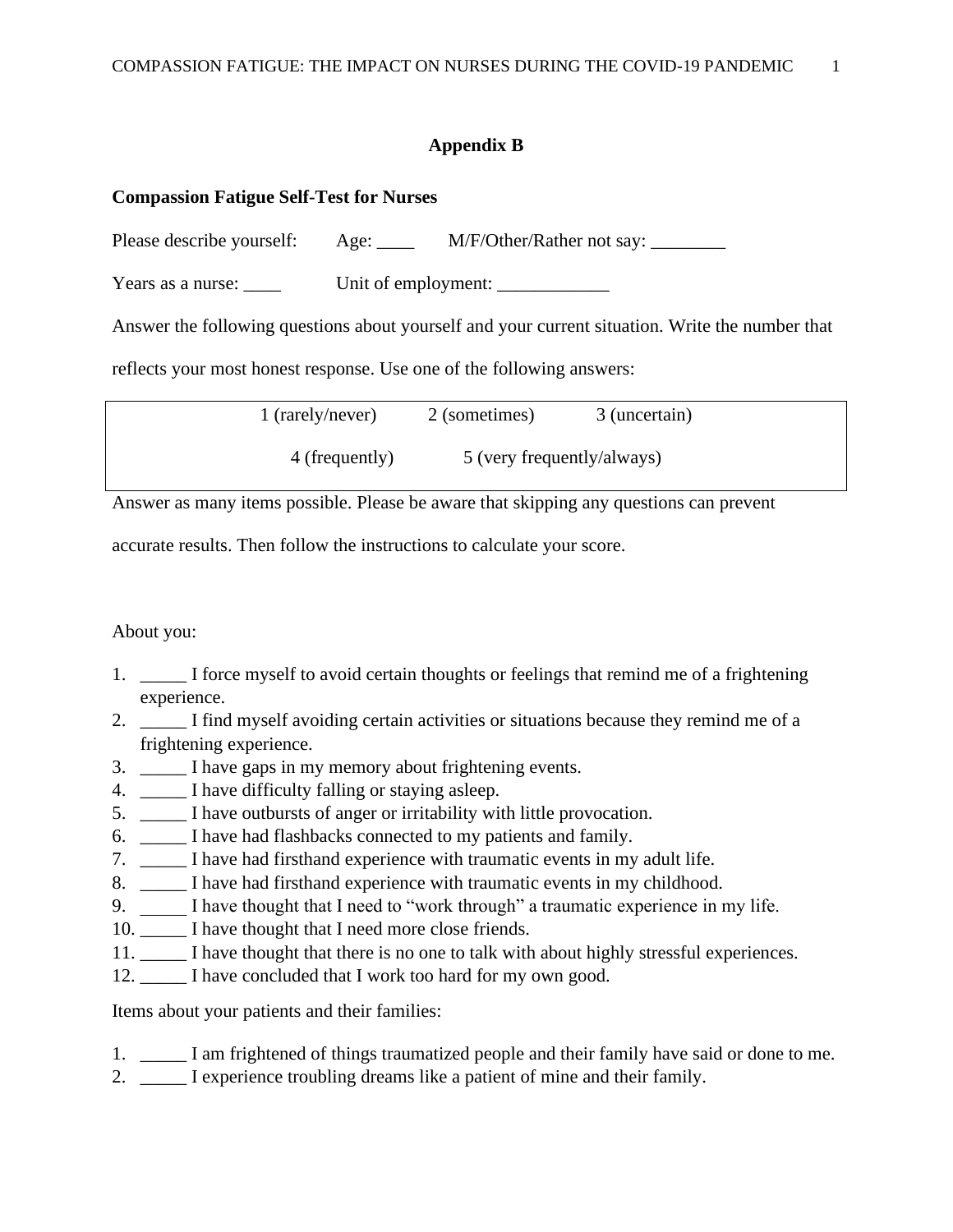## **Appendix B**

#### <span id="page-30-0"></span>**Compassion Fatigue Self-Test for Nurses**

Please describe yourself: Age: M/F/Other/Rather not say:

Years as a nurse: <br>Unit of employment:

Answer the following questions about yourself and your current situation. Write the number that

reflects your most honest response. Use one of the following answers:

| 1 (rarely/never) | 2 (sometimes) | 3 (uncertain)              |
|------------------|---------------|----------------------------|
| 4 (frequently)   |               | 5 (very frequently/always) |

Answer as many items possible. Please be aware that skipping any questions can prevent

accurate results. Then follow the instructions to calculate your score.

About you:

- 1. \_\_\_\_\_ I force myself to avoid certain thoughts or feelings that remind me of a frightening experience.
- 2. I find myself avoiding certain activities or situations because they remind me of a frightening experience.
- 3. \_\_\_\_\_ I have gaps in my memory about frightening events.
- 4. \_\_\_\_\_ I have difficulty falling or staying asleep.
- 5. \_\_\_\_\_ I have outbursts of anger or irritability with little provocation.
- 6. \_\_\_\_\_ I have had flashbacks connected to my patients and family.
- 7. \_\_\_\_\_ I have had firsthand experience with traumatic events in my adult life.
- 8. \_\_\_\_\_ I have had firsthand experience with traumatic events in my childhood.
- 9. \_\_\_\_\_ I have thought that I need to "work through" a traumatic experience in my life.
- 10. \_\_\_\_\_\_ I have thought that I need more close friends.
- 11. \_\_\_\_\_ I have thought that there is no one to talk with about highly stressful experiences.
- 12. \_\_\_\_\_ I have concluded that I work too hard for my own good.

Items about your patients and their families:

- 1. \_\_\_\_\_ I am frightened of things traumatized people and their family have said or done to me.
- 2. \_\_\_\_\_ I experience troubling dreams like a patient of mine and their family.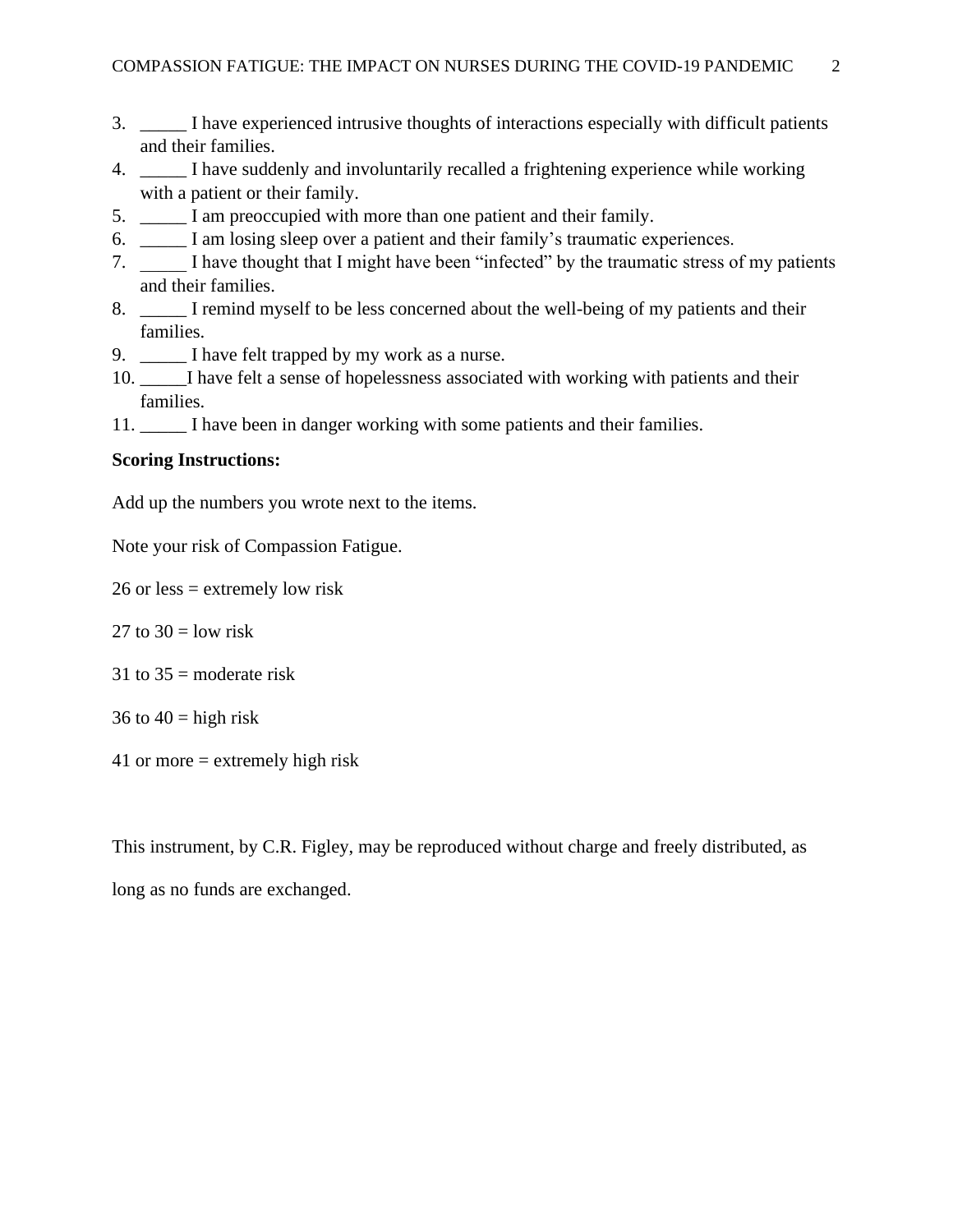- 3. \_\_\_\_\_ I have experienced intrusive thoughts of interactions especially with difficult patients and their families.
- 4. \_\_\_\_\_ I have suddenly and involuntarily recalled a frightening experience while working with a patient or their family.
- 5. \_\_\_\_\_ I am preoccupied with more than one patient and their family.
- 6. \_\_\_\_\_ I am losing sleep over a patient and their family's traumatic experiences.
- 7.  $\Box$  I have thought that I might have been "infected" by the traumatic stress of my patients and their families.
- 8. I remind myself to be less concerned about the well-being of my patients and their families.
- 9. \_\_\_\_\_ I have felt trapped by my work as a nurse.
- 10. I have felt a sense of hopelessness associated with working with patients and their families.
- 11. \_\_\_\_\_ I have been in danger working with some patients and their families.

#### **Scoring Instructions:**

Add up the numbers you wrote next to the items.

Note your risk of Compassion Fatigue.

26 or less = extremely low risk

- 27 to  $30 =$  low risk
- 31 to  $35$  = moderate risk
- 36 to  $40 =$  high risk
- 41 or more = extremely high risk

This instrument, by C.R. Figley, may be reproduced without charge and freely distributed, as

long as no funds are exchanged.